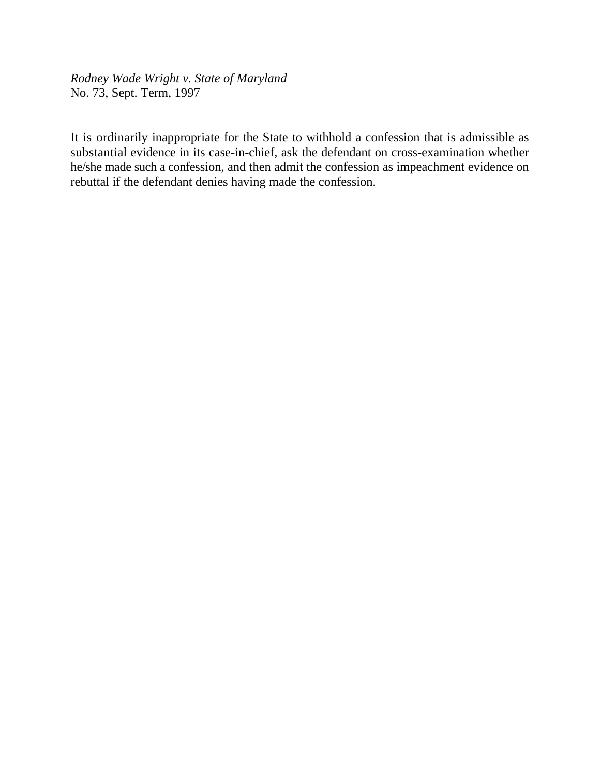*Rodney Wade Wright v. State of Maryland* No. 73, Sept. Term, 1997

It is ordinarily inappropriate for the State to withhold a confession that is admissible as substantial evidence in its case-in-chief, ask the defendant on cross-examination whether he/she made such a confession, and then admit the confession as impeachment evidence on rebuttal if the defendant denies having made the confession.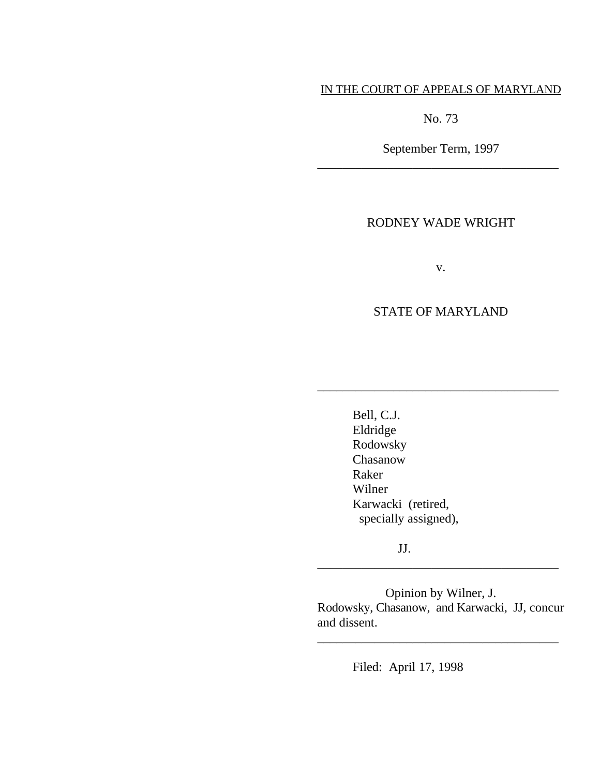# IN THE COURT OF APPEALS OF MARYLAND

No. 73

September Term, 1997 \_\_\_\_\_\_\_\_\_\_\_\_\_\_\_\_\_\_\_\_\_\_\_\_\_\_\_\_\_\_\_\_\_\_\_\_\_\_

# RODNEY WADE WRIGHT

v.

# STATE OF MARYLAND

\_\_\_\_\_\_\_\_\_\_\_\_\_\_\_\_\_\_\_\_\_\_\_\_\_\_\_\_\_\_\_\_\_\_\_\_\_\_

Bell, C.J. Eldridge Rodowsky Chasanow Raker Wilner Karwacki (retired, specially assigned),

JJ.

Opinion by Wilner, J. Rodowsky, Chasanow, and Karwacki, JJ, concur and dissent.

\_\_\_\_\_\_\_\_\_\_\_\_\_\_\_\_\_\_\_\_\_\_\_\_\_\_\_\_\_\_\_\_\_\_\_\_\_\_

\_\_\_\_\_\_\_\_\_\_\_\_\_\_\_\_\_\_\_\_\_\_\_\_\_\_\_\_\_\_\_\_\_\_\_\_\_\_

Filed: April 17, 1998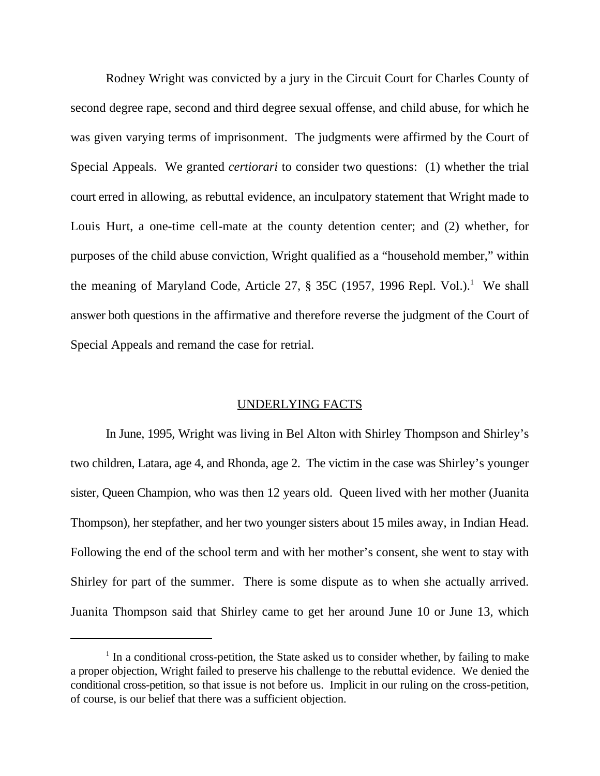Rodney Wright was convicted by a jury in the Circuit Court for Charles County of second degree rape, second and third degree sexual offense, and child abuse, for which he was given varying terms of imprisonment. The judgments were affirmed by the Court of Special Appeals. We granted *certiorari* to consider two questions: (1) whether the trial court erred in allowing, as rebuttal evidence, an inculpatory statement that Wright made to Louis Hurt, a one-time cell-mate at the county detention center; and (2) whether, for purposes of the child abuse conviction, Wright qualified as a "household member," within the meaning of Maryland Code, Article 27,  $\S$  35C (1957, 1996 Repl. Vol.).<sup>1</sup> We shall answer both questions in the affirmative and therefore reverse the judgment of the Court of Special Appeals and remand the case for retrial.

#### UNDERLYING FACTS

In June, 1995, Wright was living in Bel Alton with Shirley Thompson and Shirley's two children, Latara, age 4, and Rhonda, age 2. The victim in the case was Shirley's younger sister, Queen Champion, who was then 12 years old. Queen lived with her mother (Juanita Thompson), her stepfather, and her two younger sisters about 15 miles away, in Indian Head. Following the end of the school term and with her mother's consent, she went to stay with Shirley for part of the summer. There is some dispute as to when she actually arrived. Juanita Thompson said that Shirley came to get her around June 10 or June 13, which

 $1$  In a conditional cross-petition, the State asked us to consider whether, by failing to make a proper objection, Wright failed to preserve his challenge to the rebuttal evidence. We denied the conditional cross-petition, so that issue is not before us. Implicit in our ruling on the cross-petition, of course, is our belief that there was a sufficient objection.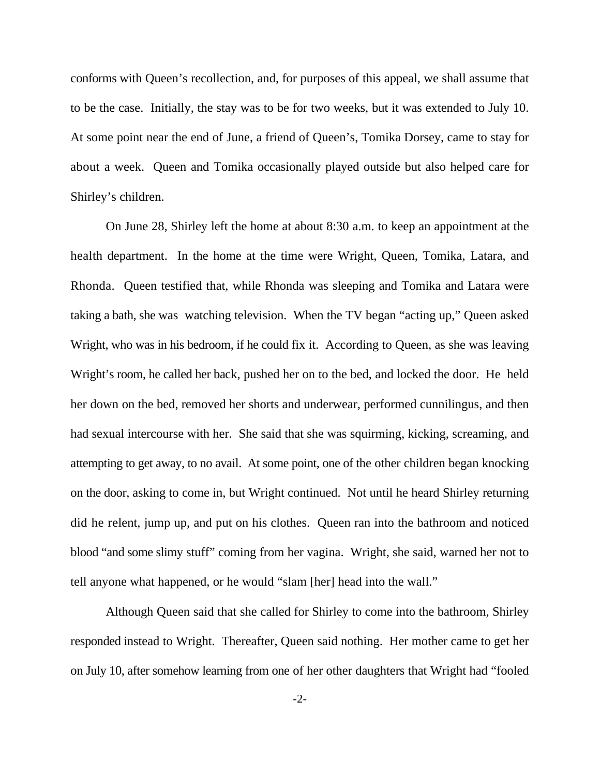conforms with Queen's recollection, and, for purposes of this appeal, we shall assume that to be the case. Initially, the stay was to be for two weeks, but it was extended to July 10. At some point near the end of June, a friend of Queen's, Tomika Dorsey, came to stay for about a week. Queen and Tomika occasionally played outside but also helped care for Shirley's children.

On June 28, Shirley left the home at about 8:30 a.m. to keep an appointment at the health department. In the home at the time were Wright, Queen, Tomika, Latara, and Rhonda. Queen testified that, while Rhonda was sleeping and Tomika and Latara were taking a bath, she was watching television. When the TV began "acting up," Queen asked Wright, who was in his bedroom, if he could fix it. According to Queen, as she was leaving Wright's room, he called her back, pushed her on to the bed, and locked the door. He held her down on the bed, removed her shorts and underwear, performed cunnilingus, and then had sexual intercourse with her. She said that she was squirming, kicking, screaming, and attempting to get away, to no avail. At some point, one of the other children began knocking on the door, asking to come in, but Wright continued. Not until he heard Shirley returning did he relent, jump up, and put on his clothes. Queen ran into the bathroom and noticed blood "and some slimy stuff" coming from her vagina. Wright, she said, warned her not to tell anyone what happened, or he would "slam [her] head into the wall."

Although Queen said that she called for Shirley to come into the bathroom, Shirley responded instead to Wright. Thereafter, Queen said nothing. Her mother came to get her on July 10, after somehow learning from one of her other daughters that Wright had "fooled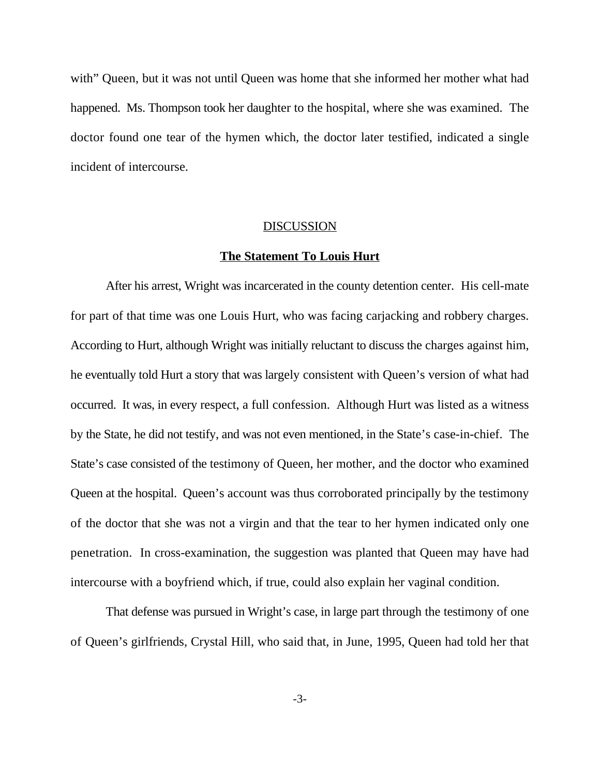with" Queen, but it was not until Queen was home that she informed her mother what had happened. Ms. Thompson took her daughter to the hospital, where she was examined. The doctor found one tear of the hymen which, the doctor later testified, indicated a single incident of intercourse.

#### **DISCUSSION**

#### **The Statement To Louis Hurt**

After his arrest, Wright was incarcerated in the county detention center. His cell-mate for part of that time was one Louis Hurt, who was facing carjacking and robbery charges. According to Hurt, although Wright was initially reluctant to discuss the charges against him, he eventually told Hurt a story that was largely consistent with Queen's version of what had occurred. It was, in every respect, a full confession. Although Hurt was listed as a witness by the State, he did not testify, and was not even mentioned, in the State's case-in-chief. The State's case consisted of the testimony of Queen, her mother, and the doctor who examined Queen at the hospital. Queen's account was thus corroborated principally by the testimony of the doctor that she was not a virgin and that the tear to her hymen indicated only one penetration. In cross-examination, the suggestion was planted that Queen may have had intercourse with a boyfriend which, if true, could also explain her vaginal condition.

That defense was pursued in Wright's case, in large part through the testimony of one of Queen's girlfriends, Crystal Hill, who said that, in June, 1995, Queen had told her that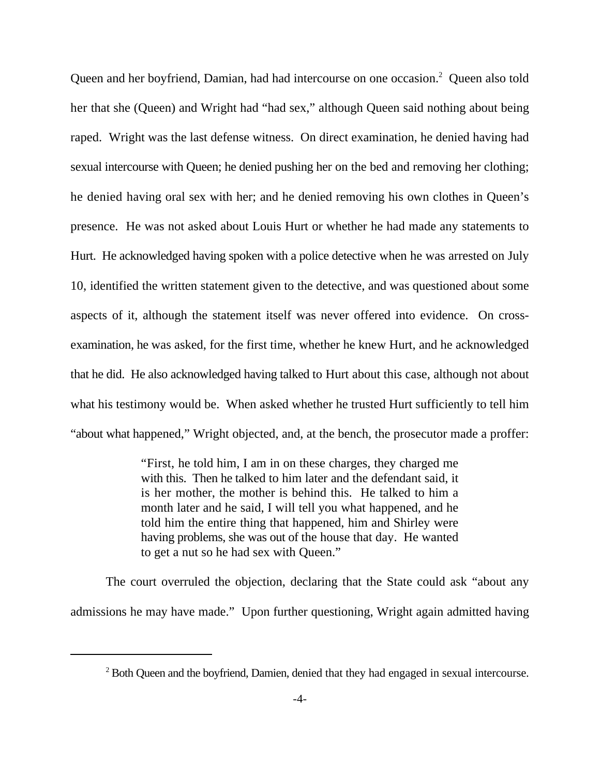Queen and her boyfriend, Damian, had had intercourse on one occasion.<sup>2</sup> Queen also told her that she (Queen) and Wright had "had sex," although Queen said nothing about being raped. Wright was the last defense witness. On direct examination, he denied having had sexual intercourse with Queen; he denied pushing her on the bed and removing her clothing; he denied having oral sex with her; and he denied removing his own clothes in Queen's presence. He was not asked about Louis Hurt or whether he had made any statements to Hurt. He acknowledged having spoken with a police detective when he was arrested on July 10, identified the written statement given to the detective, and was questioned about some aspects of it, although the statement itself was never offered into evidence. On crossexamination, he was asked, for the first time, whether he knew Hurt, and he acknowledged that he did. He also acknowledged having talked to Hurt about this case, although not about what his testimony would be. When asked whether he trusted Hurt sufficiently to tell him "about what happened," Wright objected, and, at the bench, the prosecutor made a proffer:

> "First, he told him, I am in on these charges, they charged me with this. Then he talked to him later and the defendant said, it is her mother, the mother is behind this. He talked to him a month later and he said, I will tell you what happened, and he told him the entire thing that happened, him and Shirley were having problems, she was out of the house that day. He wanted to get a nut so he had sex with Queen."

The court overruled the objection, declaring that the State could ask "about any admissions he may have made." Upon further questioning, Wright again admitted having

<sup>&</sup>lt;sup>2</sup> Both Oueen and the boyfriend, Damien, denied that they had engaged in sexual intercourse.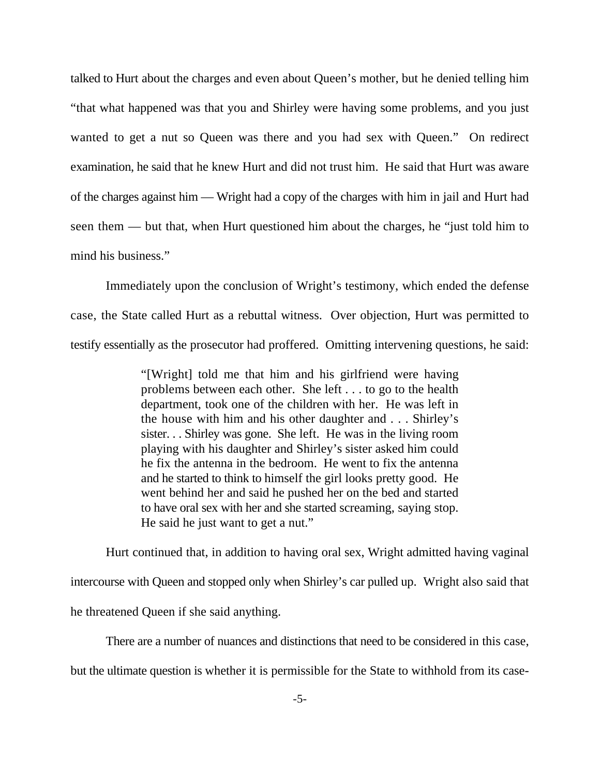talked to Hurt about the charges and even about Queen's mother, but he denied telling him "that what happened was that you and Shirley were having some problems, and you just wanted to get a nut so Queen was there and you had sex with Queen." On redirect examination, he said that he knew Hurt and did not trust him. He said that Hurt was aware of the charges against him — Wright had a copy of the charges with him in jail and Hurt had seen them — but that, when Hurt questioned him about the charges, he "just told him to mind his business."

Immediately upon the conclusion of Wright's testimony, which ended the defense case, the State called Hurt as a rebuttal witness. Over objection, Hurt was permitted to testify essentially as the prosecutor had proffered. Omitting intervening questions, he said:

> "[Wright] told me that him and his girlfriend were having problems between each other. She left . . . to go to the health department, took one of the children with her. He was left in the house with him and his other daughter and . . . Shirley's sister. . . Shirley was gone. She left. He was in the living room playing with his daughter and Shirley's sister asked him could he fix the antenna in the bedroom. He went to fix the antenna and he started to think to himself the girl looks pretty good. He went behind her and said he pushed her on the bed and started to have oral sex with her and she started screaming, saying stop. He said he just want to get a nut."

Hurt continued that, in addition to having oral sex, Wright admitted having vaginal intercourse with Queen and stopped only when Shirley's car pulled up. Wright also said that he threatened Queen if she said anything.

There are a number of nuances and distinctions that need to be considered in this case, but the ultimate question is whether it is permissible for the State to withhold from its case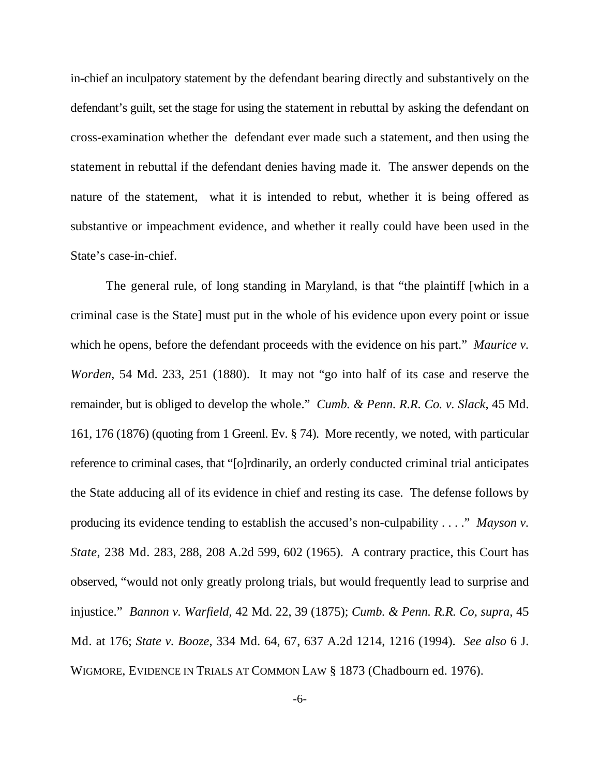in-chief an inculpatory statement by the defendant bearing directly and substantively on the defendant's guilt, set the stage for using the statement in rebuttal by asking the defendant on cross-examination whether the defendant ever made such a statement, and then using the statement in rebuttal if the defendant denies having made it. The answer depends on the nature of the statement, what it is intended to rebut, whether it is being offered as substantive or impeachment evidence, and whether it really could have been used in the State's case-in-chief.

The general rule, of long standing in Maryland, is that "the plaintiff [which in a criminal case is the State] must put in the whole of his evidence upon every point or issue which he opens, before the defendant proceeds with the evidence on his part." *Maurice v. Worden*, 54 Md. 233, 251 (1880). It may not "go into half of its case and reserve the remainder, but is obliged to develop the whole." *Cumb. & Penn. R.R. Co. v. Slack*, 45 Md. 161, 176 (1876) (quoting from 1 Greenl. Ev. § 74). More recently, we noted, with particular reference to criminal cases, that "[o]rdinarily, an orderly conducted criminal trial anticipates the State adducing all of its evidence in chief and resting its case. The defense follows by producing its evidence tending to establish the accused's non-culpability . . . ." *Mayson v. State*, 238 Md. 283, 288, 208 A.2d 599, 602 (1965). A contrary practice, this Court has observed, "would not only greatly prolong trials, but would frequently lead to surprise and injustice." *Bannon v. Warfield*, 42 Md. 22, 39 (1875); *Cumb. & Penn. R.R. Co, supra*, 45 Md. at 176; *State v. Booze*, 334 Md. 64, 67, 637 A.2d 1214, 1216 (1994). *See also* 6 J. WIGMORE, EVIDENCE IN TRIALS AT COMMON LAW § 1873 (Chadbourn ed. 1976).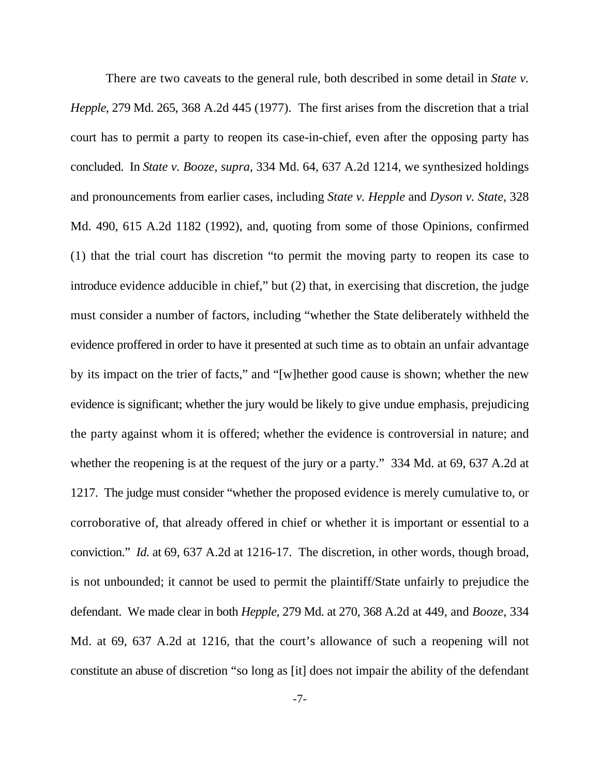There are two caveats to the general rule, both described in some detail in *State v. Hepple*, 279 Md. 265, 368 A.2d 445 (1977). The first arises from the discretion that a trial court has to permit a party to reopen its case-in-chief, even after the opposing party has concluded. In *State v. Booze, supra*, 334 Md. 64, 637 A.2d 1214, we synthesized holdings and pronouncements from earlier cases, including *State v. Hepple* and *Dyson v. State*, 328 Md. 490, 615 A.2d 1182 (1992), and, quoting from some of those Opinions, confirmed (1) that the trial court has discretion "to permit the moving party to reopen its case to introduce evidence adducible in chief," but (2) that, in exercising that discretion, the judge must consider a number of factors, including "whether the State deliberately withheld the evidence proffered in order to have it presented at such time as to obtain an unfair advantage by its impact on the trier of facts," and "[w]hether good cause is shown; whether the new evidence is significant; whether the jury would be likely to give undue emphasis, prejudicing the party against whom it is offered; whether the evidence is controversial in nature; and whether the reopening is at the request of the jury or a party." 334 Md. at 69, 637 A.2d at 1217. The judge must consider "whether the proposed evidence is merely cumulative to, or corroborative of, that already offered in chief or whether it is important or essential to a conviction." *Id.* at 69, 637 A.2d at 1216-17. The discretion, in other words, though broad, is not unbounded; it cannot be used to permit the plaintiff/State unfairly to prejudice the defendant. We made clear in both *Hepple,* 279 Md. at 270, 368 A.2d at 449, and *Booze,* 334 Md. at 69, 637 A.2d at 1216, that the court's allowance of such a reopening will not constitute an abuse of discretion "so long as [it] does not impair the ability of the defendant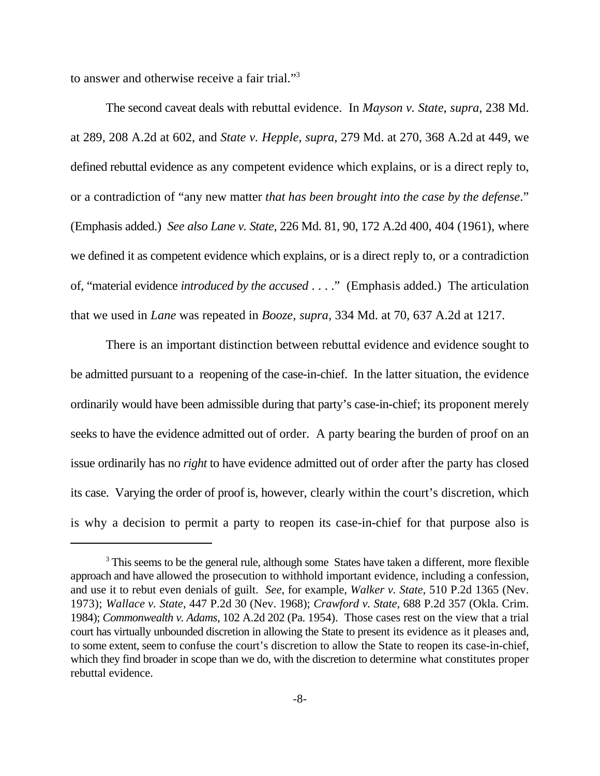to answer and otherwise receive a fair trial."<sup>3</sup>

The second caveat deals with rebuttal evidence. In *Mayson v. State*, *supra*, 238 Md. at 289, 208 A.2d at 602, and *State v. Hepple, supra*, 279 Md. at 270, 368 A.2d at 449, we defined rebuttal evidence as any competent evidence which explains, or is a direct reply to, or a contradiction of "any new matter *that has been brought into the case by the defense*." (Emphasis added.) *See also Lane v. State*, 226 Md. 81, 90, 172 A.2d 400, 404 (1961), where we defined it as competent evidence which explains, or is a direct reply to, or a contradiction of, "material evidence *introduced by the accused* . . . ." (Emphasis added.) The articulation that we used in *Lane* was repeated in *Booze*, *supra*, 334 Md. at 70, 637 A.2d at 1217.

There is an important distinction between rebuttal evidence and evidence sought to be admitted pursuant to a reopening of the case-in-chief. In the latter situation, the evidence ordinarily would have been admissible during that party's case-in-chief; its proponent merely seeks to have the evidence admitted out of order. A party bearing the burden of proof on an issue ordinarily has no *right* to have evidence admitted out of order after the party has closed its case. Varying the order of proof is, however, clearly within the court's discretion, which is why a decision to permit a party to reopen its case-in-chief for that purpose also is

<sup>&</sup>lt;sup>3</sup> This seems to be the general rule, although some States have taken a different, more flexible approach and have allowed the prosecution to withhold important evidence, including a confession, and use it to rebut even denials of guilt. *See*, for example, *Walker v. State*, 510 P.2d 1365 (Nev. 1973); *Wallace v. State*, 447 P.2d 30 (Nev. 1968); *Crawford v. State*, 688 P.2d 357 (Okla. Crim. 1984); *Commonwealth v. Adams*, 102 A.2d 202 (Pa. 1954). Those cases rest on the view that a trial court has virtually unbounded discretion in allowing the State to present its evidence as it pleases and, to some extent, seem to confuse the court's discretion to allow the State to reopen its case-in-chief, which they find broader in scope than we do, with the discretion to determine what constitutes proper rebuttal evidence.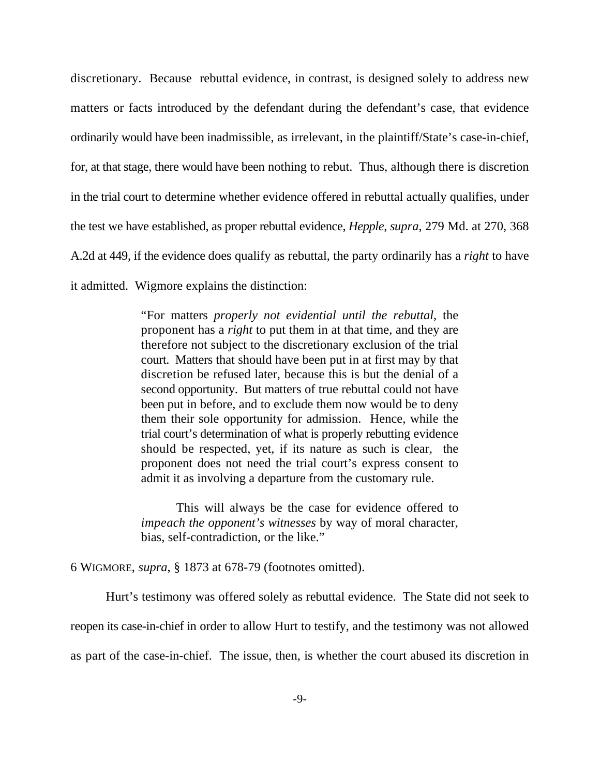discretionary. Because rebuttal evidence, in contrast, is designed solely to address new matters or facts introduced by the defendant during the defendant's case, that evidence ordinarily would have been inadmissible, as irrelevant, in the plaintiff/State's case-in-chief, for, at that stage, there would have been nothing to rebut. Thus, although there is discretion in the trial court to determine whether evidence offered in rebuttal actually qualifies, under the test we have established, as proper rebuttal evidence, *Hepple*, *supra*, 279 Md. at 270, 368 A.2d at 449, if the evidence does qualify as rebuttal, the party ordinarily has a *right* to have it admitted. Wigmore explains the distinction:

> "For matters *properly not evidential until the rebuttal*, the proponent has a *right* to put them in at that time, and they are therefore not subject to the discretionary exclusion of the trial court. Matters that should have been put in at first may by that discretion be refused later, because this is but the denial of a second opportunity. But matters of true rebuttal could not have been put in before, and to exclude them now would be to deny them their sole opportunity for admission. Hence, while the trial court's determination of what is properly rebutting evidence should be respected, yet, if its nature as such is clear*,* the proponent does not need the trial court's express consent to admit it as involving a departure from the customary rule.

> This will always be the case for evidence offered to *impeach the opponent's witnesses* by way of moral character, bias, self-contradiction, or the like."

6 WIGMORE, *supra*, § 1873 at 678-79 (footnotes omitted).

Hurt's testimony was offered solely as rebuttal evidence. The State did not seek to reopen its case-in-chief in order to allow Hurt to testify, and the testimony was not allowed as part of the case-in-chief. The issue, then, is whether the court abused its discretion in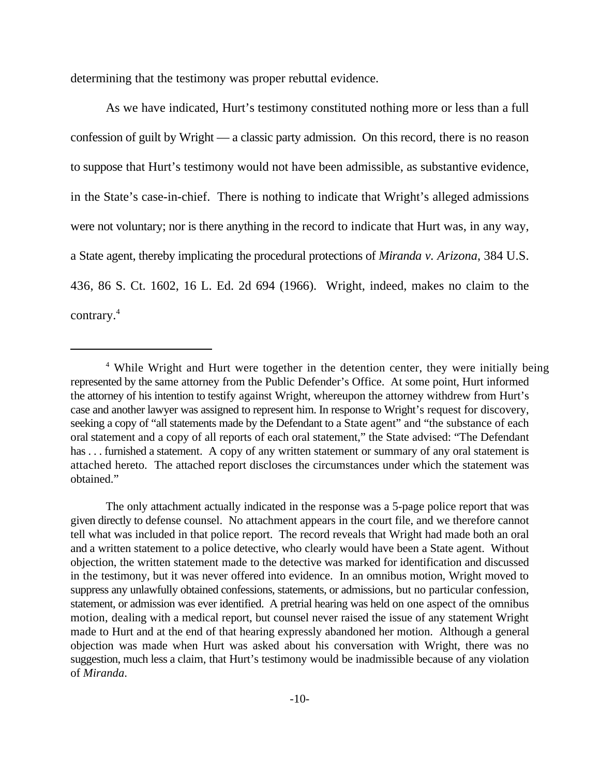determining that the testimony was proper rebuttal evidence.

As we have indicated, Hurt's testimony constituted nothing more or less than a full confession of guilt by Wright — a classic party admission. On this record, there is no reason to suppose that Hurt's testimony would not have been admissible, as substantive evidence, in the State's case-in-chief. There is nothing to indicate that Wright's alleged admissions were not voluntary; nor is there anything in the record to indicate that Hurt was, in any way, a State agent, thereby implicating the procedural protections of *Miranda v. Arizona*, 384 U.S. 436, 86 S. Ct. 1602, 16 L. Ed. 2d 694 (1966). Wright, indeed, makes no claim to the contrary.4

<sup>&</sup>lt;sup>4</sup> While Wright and Hurt were together in the detention center, they were initially being represented by the same attorney from the Public Defender's Office. At some point, Hurt informed the attorney of his intention to testify against Wright, whereupon the attorney withdrew from Hurt's case and another lawyer was assigned to represent him. In response to Wright's request for discovery, seeking a copy of "all statements made by the Defendant to a State agent" and "the substance of each oral statement and a copy of all reports of each oral statement," the State advised: "The Defendant has . . . furnished a statement. A copy of any written statement or summary of any oral statement is attached hereto. The attached report discloses the circumstances under which the statement was obtained."

The only attachment actually indicated in the response was a 5-page police report that was given directly to defense counsel. No attachment appears in the court file, and we therefore cannot tell what was included in that police report. The record reveals that Wright had made both an oral and a written statement to a police detective, who clearly would have been a State agent. Without objection, the written statement made to the detective was marked for identification and discussed in the testimony, but it was never offered into evidence. In an omnibus motion, Wright moved to suppress any unlawfully obtained confessions, statements, or admissions, but no particular confession, statement, or admission was ever identified. A pretrial hearing was held on one aspect of the omnibus motion, dealing with a medical report, but counsel never raised the issue of any statement Wright made to Hurt and at the end of that hearing expressly abandoned her motion. Although a general objection was made when Hurt was asked about his conversation with Wright, there was no suggestion, much less a claim, that Hurt's testimony would be inadmissible because of any violation of *Miranda*.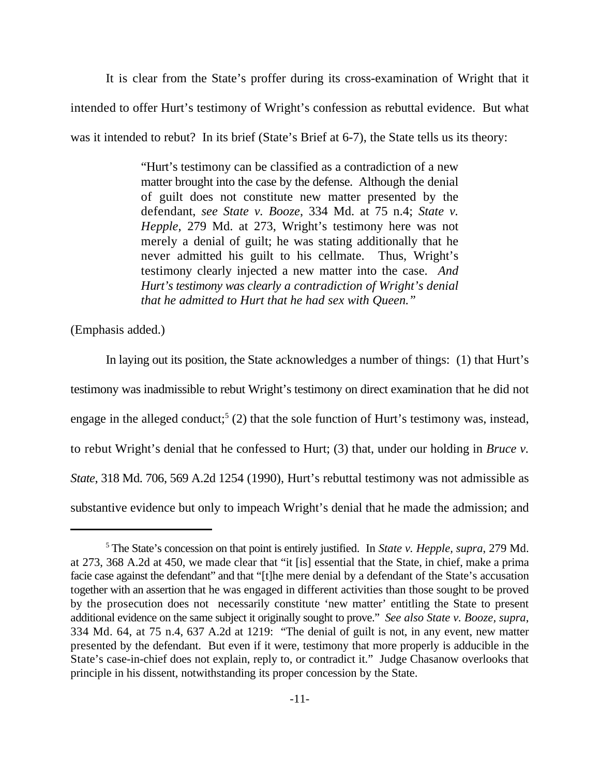It is clear from the State's proffer during its cross-examination of Wright that it intended to offer Hurt's testimony of Wright's confession as rebuttal evidence. But what was it intended to rebut? In its brief (State's Brief at 6-7), the State tells us its theory:

> "Hurt's testimony can be classified as a contradiction of a new matter brought into the case by the defense. Although the denial of guilt does not constitute new matter presented by the defendant, *see State v. Booze*, 334 Md. at 75 n.4; *State v. Hepple*, 279 Md. at 273, Wright's testimony here was not merely a denial of guilt; he was stating additionally that he never admitted his guilt to his cellmate. Thus, Wright's testimony clearly injected a new matter into the case. *And Hurt's testimony was clearly a contradiction of Wright's denial that he admitted to Hurt that he had sex with Queen."*

(Emphasis added.)

In laying out its position, the State acknowledges a number of things: (1) that Hurt's testimony was inadmissible to rebut Wright's testimony on direct examination that he did not engage in the alleged conduct;<sup>5</sup> (2) that the sole function of Hurt's testimony was, instead, to rebut Wright's denial that he confessed to Hurt; (3) that, under our holding in *Bruce v. State*, 318 Md. 706, 569 A.2d 1254 (1990), Hurt's rebuttal testimony was not admissible as substantive evidence but only to impeach Wright's denial that he made the admission; and

<sup>&</sup>lt;sup>5</sup> The State's concession on that point is entirely justified. In *State v. Hepple, supra*, 279 Md. at 273, 368 A.2d at 450, we made clear that "it [is] essential that the State, in chief, make a prima facie case against the defendant" and that "[t]he mere denial by a defendant of the State's accusation together with an assertion that he was engaged in different activities than those sought to be proved by the prosecution does not necessarily constitute 'new matter' entitling the State to present additional evidence on the same subject it originally sought to prove." *See also State v. Booze, supra*, 334 Md. 64, at 75 n.4, 637 A.2d at 1219: "The denial of guilt is not, in any event, new matter presented by the defendant. But even if it were, testimony that more properly is adducible in the State's case-in-chief does not explain, reply to, or contradict it." Judge Chasanow overlooks that principle in his dissent, notwithstanding its proper concession by the State.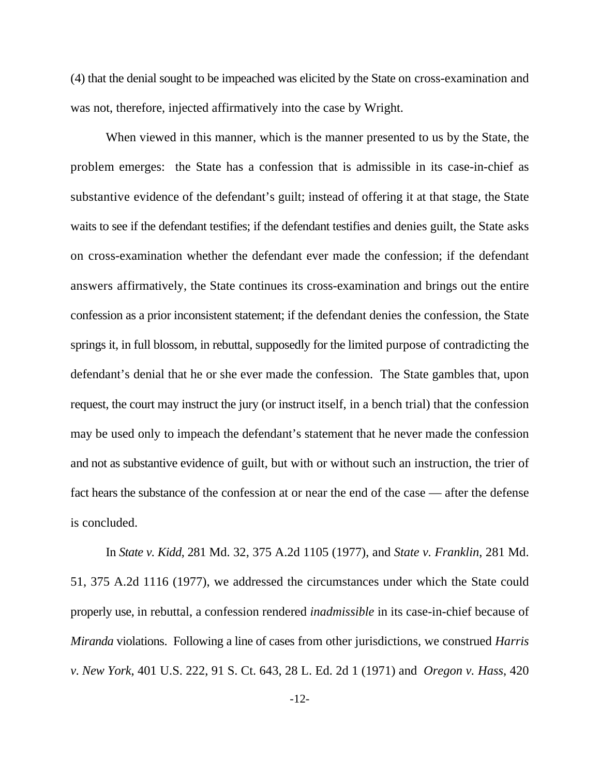(4) that the denial sought to be impeached was elicited by the State on cross-examination and was not, therefore, injected affirmatively into the case by Wright.

When viewed in this manner, which is the manner presented to us by the State, the problem emerges: the State has a confession that is admissible in its case-in-chief as substantive evidence of the defendant's guilt; instead of offering it at that stage, the State waits to see if the defendant testifies; if the defendant testifies and denies guilt, the State asks on cross-examination whether the defendant ever made the confession; if the defendant answers affirmatively, the State continues its cross-examination and brings out the entire confession as a prior inconsistent statement; if the defendant denies the confession, the State springs it, in full blossom, in rebuttal, supposedly for the limited purpose of contradicting the defendant's denial that he or she ever made the confession. The State gambles that, upon request, the court may instruct the jury (or instruct itself, in a bench trial) that the confession may be used only to impeach the defendant's statement that he never made the confession and not as substantive evidence of guilt, but with or without such an instruction, the trier of fact hears the substance of the confession at or near the end of the case — after the defense is concluded.

In *State v. Kidd*, 281 Md. 32, 375 A.2d 1105 (1977), and *State v. Franklin*, 281 Md. 51, 375 A.2d 1116 (1977), we addressed the circumstances under which the State could properly use, in rebuttal, a confession rendered *inadmissible* in its case-in-chief because of *Miranda* violations. Following a line of cases from other jurisdictions, we construed *Harris v. New York*, 401 U.S. 222, 91 S. Ct. 643, 28 L. Ed. 2d 1 (1971) and *Oregon v. Hass*, 420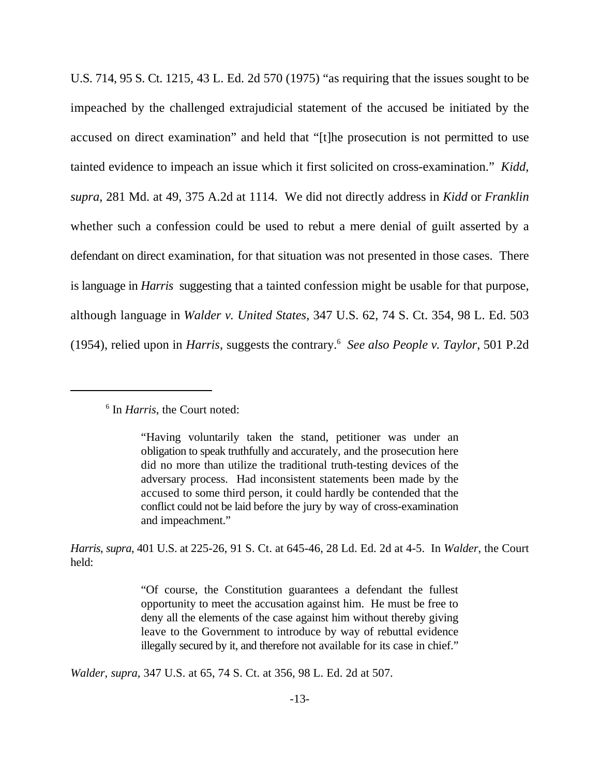U.S. 714, 95 S. Ct. 1215, 43 L. Ed. 2d 570 (1975) "as requiring that the issues sought to be impeached by the challenged extrajudicial statement of the accused be initiated by the accused on direct examination" and held that "[t]he prosecution is not permitted to use tainted evidence to impeach an issue which it first solicited on cross-examination." *Kidd*, *supra*, 281 Md. at 49, 375 A.2d at 1114. We did not directly address in *Kidd* or *Franklin* whether such a confession could be used to rebut a mere denial of guilt asserted by a defendant on direct examination, for that situation was not presented in those cases. There is language in *Harris* suggesting that a tainted confession might be usable for that purpose, although language in *Walder v. United States*, 347 U.S. 62, 74 S. Ct. 354, 98 L. Ed. 503 (1954), relied upon in *Harris*, suggests the contrary. *See also People v. Taylor*, 501 P.2d

# <sup>6</sup> In *Harris*, the Court noted:

*Harris*, *supra*, 401 U.S. at 225-26, 91 S. Ct. at 645-46, 28 Ld. Ed. 2d at 4-5. In *Walder*, the Court held:

> "Of course, the Constitution guarantees a defendant the fullest opportunity to meet the accusation against him. He must be free to deny all the elements of the case against him without thereby giving leave to the Government to introduce by way of rebuttal evidence illegally secured by it, and therefore not available for its case in chief."

*Walder*, *supra*, 347 U.S. at 65, 74 S. Ct. at 356, 98 L. Ed. 2d at 507.

<sup>&</sup>quot;Having voluntarily taken the stand, petitioner was under an obligation to speak truthfully and accurately, and the prosecution here did no more than utilize the traditional truth-testing devices of the adversary process. Had inconsistent statements been made by the accused to some third person, it could hardly be contended that the conflict could not be laid before the jury by way of cross-examination and impeachment."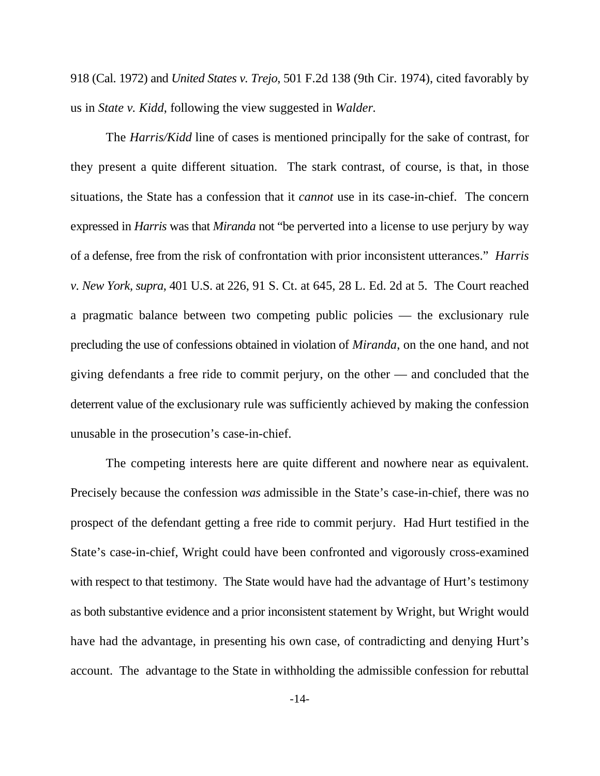918 (Cal. 1972) and *United States v. Trejo*, 501 F.2d 138 (9th Cir. 1974), cited favorably by us in *State v. Kidd*, following the view suggested in *Walder.*

The *Harris/Kidd* line of cases is mentioned principally for the sake of contrast, for they present a quite different situation. The stark contrast, of course, is that, in those situations, the State has a confession that it *cannot* use in its case-in-chief. The concern expressed in *Harris* was that *Miranda* not "be perverted into a license to use perjury by way of a defense, free from the risk of confrontation with prior inconsistent utterances." *Harris v. New York, supra*, 401 U.S. at 226, 91 S. Ct. at 645, 28 L. Ed. 2d at 5. The Court reached a pragmatic balance between two competing public policies — the exclusionary rule precluding the use of confessions obtained in violation of *Miranda*, on the one hand, and not giving defendants a free ride to commit perjury, on the other — and concluded that the deterrent value of the exclusionary rule was sufficiently achieved by making the confession unusable in the prosecution's case-in-chief.

The competing interests here are quite different and nowhere near as equivalent. Precisely because the confession *was* admissible in the State's case-in-chief, there was no prospect of the defendant getting a free ride to commit perjury. Had Hurt testified in the State's case-in-chief, Wright could have been confronted and vigorously cross-examined with respect to that testimony. The State would have had the advantage of Hurt's testimony as both substantive evidence and a prior inconsistent statement by Wright, but Wright would have had the advantage, in presenting his own case, of contradicting and denying Hurt's account. The advantage to the State in withholding the admissible confession for rebuttal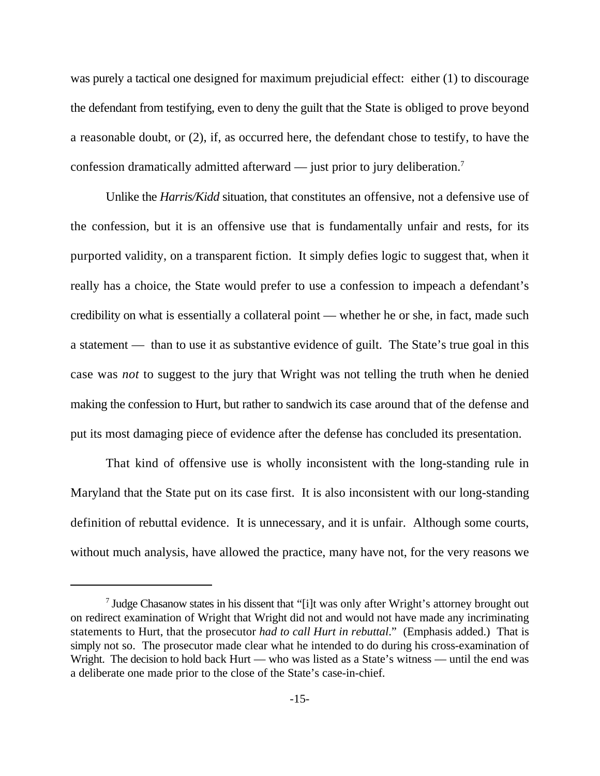was purely a tactical one designed for maximum prejudicial effect: either (1) to discourage the defendant from testifying, even to deny the guilt that the State is obliged to prove beyond a reasonable doubt, or (2), if, as occurred here, the defendant chose to testify, to have the confession dramatically admitted afterward — just prior to jury deliberation.<sup>7</sup>

Unlike the *Harris/Kidd* situation, that constitutes an offensive, not a defensive use of the confession, but it is an offensive use that is fundamentally unfair and rests, for its purported validity, on a transparent fiction. It simply defies logic to suggest that, when it really has a choice, the State would prefer to use a confession to impeach a defendant's credibility on what is essentially a collateral point — whether he or she, in fact, made such a statement — than to use it as substantive evidence of guilt. The State's true goal in this case was *not* to suggest to the jury that Wright was not telling the truth when he denied making the confession to Hurt, but rather to sandwich its case around that of the defense and put its most damaging piece of evidence after the defense has concluded its presentation.

That kind of offensive use is wholly inconsistent with the long-standing rule in Maryland that the State put on its case first. It is also inconsistent with our long-standing definition of rebuttal evidence. It is unnecessary, and it is unfair. Although some courts, without much analysis, have allowed the practice, many have not, for the very reasons we

 $\frac{1}{2}$  Judge Chasanow states in his dissent that "[i]t was only after Wright's attorney brought out on redirect examination of Wright that Wright did not and would not have made any incriminating statements to Hurt, that the prosecutor *had to call Hurt in rebuttal*." (Emphasis added.) That is simply not so. The prosecutor made clear what he intended to do during his cross-examination of Wright. The decision to hold back Hurt — who was listed as a State's witness — until the end was a deliberate one made prior to the close of the State's case-in-chief.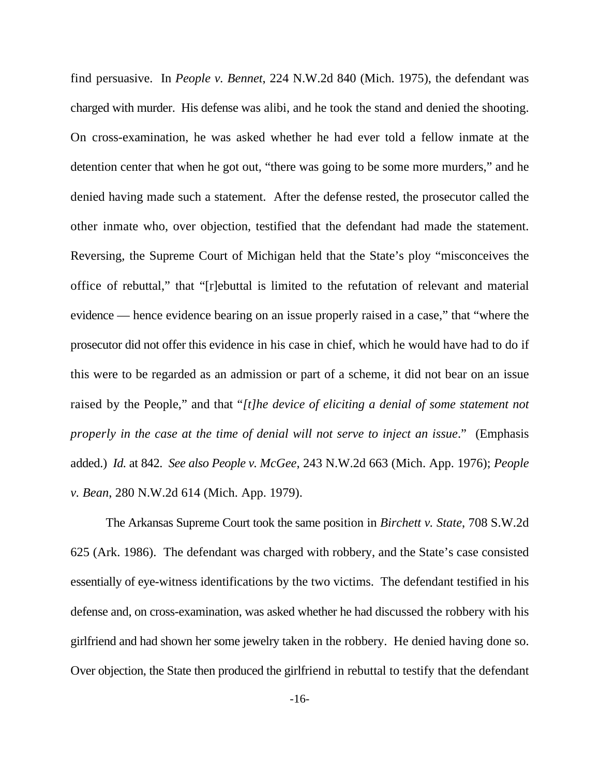find persuasive. In *People v. Bennet*, 224 N.W.2d 840 (Mich. 1975), the defendant was charged with murder. His defense was alibi, and he took the stand and denied the shooting. On cross-examination, he was asked whether he had ever told a fellow inmate at the detention center that when he got out, "there was going to be some more murders," and he denied having made such a statement. After the defense rested, the prosecutor called the other inmate who, over objection, testified that the defendant had made the statement. Reversing, the Supreme Court of Michigan held that the State's ploy "misconceives the office of rebuttal," that "[r]ebuttal is limited to the refutation of relevant and material evidence — hence evidence bearing on an issue properly raised in a case," that "where the prosecutor did not offer this evidence in his case in chief, which he would have had to do if this were to be regarded as an admission or part of a scheme, it did not bear on an issue raised by the People," and that "*[t]he device of eliciting a denial of some statement not properly in the case at the time of denial will not serve to inject an issue*." (Emphasis added.) *Id.* at 842. *See also People v. McGee*, 243 N.W.2d 663 (Mich. App. 1976); *People v. Bean*, 280 N.W.2d 614 (Mich. App. 1979).

The Arkansas Supreme Court took the same position in *Birchett v. State*, 708 S.W.2d 625 (Ark. 1986). The defendant was charged with robbery, and the State's case consisted essentially of eye-witness identifications by the two victims. The defendant testified in his defense and, on cross-examination, was asked whether he had discussed the robbery with his girlfriend and had shown her some jewelry taken in the robbery. He denied having done so. Over objection, the State then produced the girlfriend in rebuttal to testify that the defendant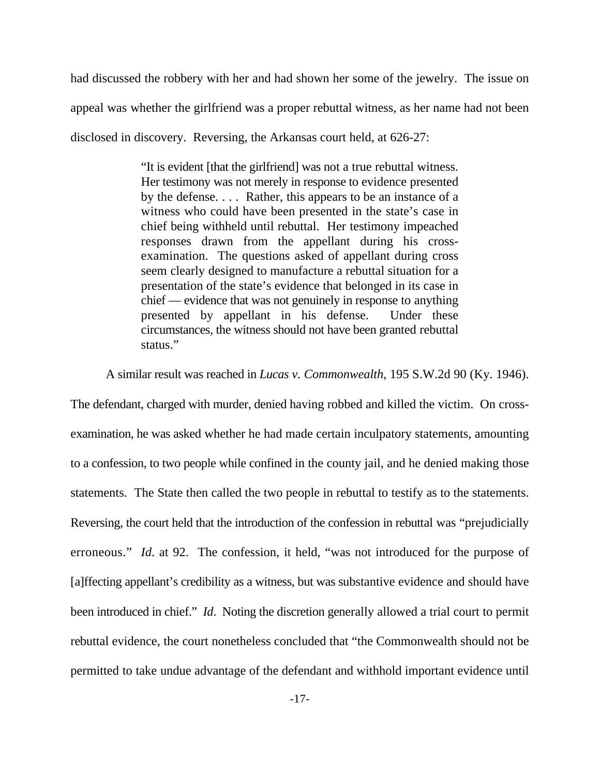had discussed the robbery with her and had shown her some of the jewelry. The issue on appeal was whether the girlfriend was a proper rebuttal witness, as her name had not been disclosed in discovery. Reversing, the Arkansas court held, at 626-27:

> "It is evident [that the girlfriend] was not a true rebuttal witness. Her testimony was not merely in response to evidence presented by the defense. . . . Rather, this appears to be an instance of a witness who could have been presented in the state's case in chief being withheld until rebuttal. Her testimony impeached responses drawn from the appellant during his crossexamination. The questions asked of appellant during cross seem clearly designed to manufacture a rebuttal situation for a presentation of the state's evidence that belonged in its case in chief — evidence that was not genuinely in response to anything presented by appellant in his defense. Under these circumstances, the witness should not have been granted rebuttal status."

A similar result was reached in *Lucas v. Commonwealth*, 195 S.W.2d 90 (Ky. 1946).

The defendant, charged with murder, denied having robbed and killed the victim. On crossexamination, he was asked whether he had made certain inculpatory statements, amounting to a confession, to two people while confined in the county jail, and he denied making those statements. The State then called the two people in rebuttal to testify as to the statements. Reversing, the court held that the introduction of the confession in rebuttal was "prejudicially erroneous." *Id*. at 92. The confession, it held, "was not introduced for the purpose of [a]ffecting appellant's credibility as a witness, but was substantive evidence and should have been introduced in chief." *Id*. Noting the discretion generally allowed a trial court to permit rebuttal evidence, the court nonetheless concluded that "the Commonwealth should not be permitted to take undue advantage of the defendant and withhold important evidence until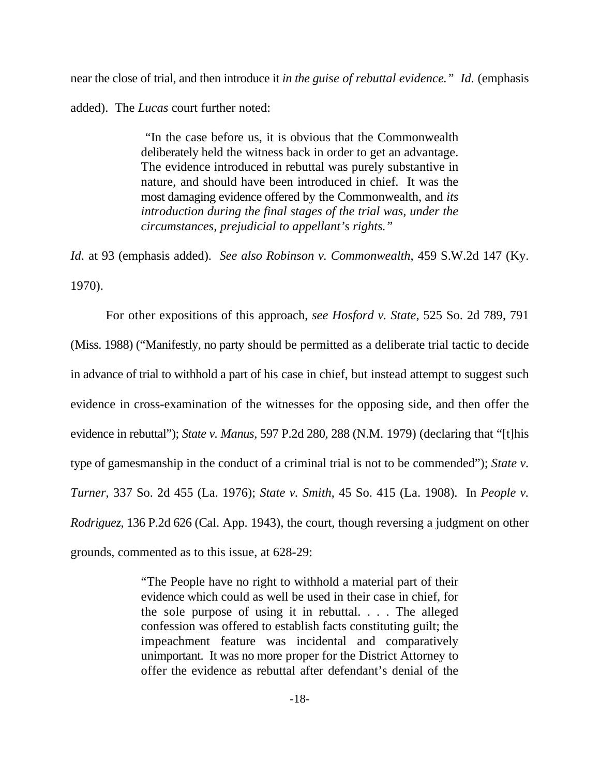near the close of trial, and then introduce it *in the guise of rebuttal evidence." Id.* (emphasis added). The *Lucas* court further noted:

> "In the case before us, it is obvious that the Commonwealth deliberately held the witness back in order to get an advantage. The evidence introduced in rebuttal was purely substantive in nature, and should have been introduced in chief. It was the most damaging evidence offered by the Commonwealth, and *its introduction during the final stages of the trial was, under the circumstances, prejudicial to appellant's rights."*

*Id*. at 93 (emphasis added). *See also Robinson v. Commonwealth*, 459 S.W.2d 147 (Ky. 1970).

For other expositions of this approach, *see Hosford v. State*, 525 So. 2d 789, 791 (Miss. 1988) ("Manifestly, no party should be permitted as a deliberate trial tactic to decide in advance of trial to withhold a part of his case in chief, but instead attempt to suggest such evidence in cross-examination of the witnesses for the opposing side, and then offer the evidence in rebuttal"); *State v. Manus*, 597 P.2d 280, 288 (N.M. 1979) (declaring that "[t]his type of gamesmanship in the conduct of a criminal trial is not to be commended"); *State v. Turner*, 337 So. 2d 455 (La. 1976); *State v. Smith*, 45 So. 415 (La. 1908). In *People v. Rodriguez*, 136 P.2d 626 (Cal. App. 1943), the court, though reversing a judgment on other grounds, commented as to this issue, at 628-29:

> "The People have no right to withhold a material part of their evidence which could as well be used in their case in chief, for the sole purpose of using it in rebuttal. . . . The alleged confession was offered to establish facts constituting guilt; the impeachment feature was incidental and comparatively unimportant. It was no more proper for the District Attorney to offer the evidence as rebuttal after defendant's denial of the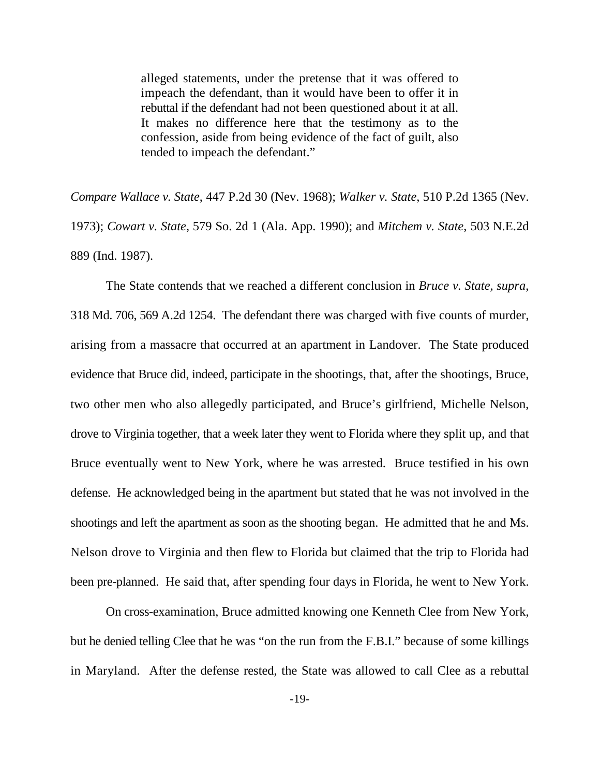alleged statements, under the pretense that it was offered to impeach the defendant, than it would have been to offer it in rebuttal if the defendant had not been questioned about it at all. It makes no difference here that the testimony as to the confession, aside from being evidence of the fact of guilt, also tended to impeach the defendant."

*Compare Wallace v. State*, 447 P.2d 30 (Nev. 1968); *Walker v. State*, 510 P.2d 1365 (Nev. 1973); *Cowart v. State*, 579 So. 2d 1 (Ala. App. 1990); and *Mitchem v. State*, 503 N.E.2d 889 (Ind. 1987).

The State contends that we reached a different conclusion in *Bruce v. State, supra*, 318 Md. 706, 569 A.2d 1254. The defendant there was charged with five counts of murder, arising from a massacre that occurred at an apartment in Landover. The State produced evidence that Bruce did, indeed, participate in the shootings, that, after the shootings, Bruce, two other men who also allegedly participated, and Bruce's girlfriend, Michelle Nelson, drove to Virginia together, that a week later they went to Florida where they split up, and that Bruce eventually went to New York, where he was arrested. Bruce testified in his own defense. He acknowledged being in the apartment but stated that he was not involved in the shootings and left the apartment as soon as the shooting began. He admitted that he and Ms. Nelson drove to Virginia and then flew to Florida but claimed that the trip to Florida had been pre-planned. He said that, after spending four days in Florida, he went to New York.

On cross-examination, Bruce admitted knowing one Kenneth Clee from New York, but he denied telling Clee that he was "on the run from the F.B.I." because of some killings in Maryland. After the defense rested, the State was allowed to call Clee as a rebuttal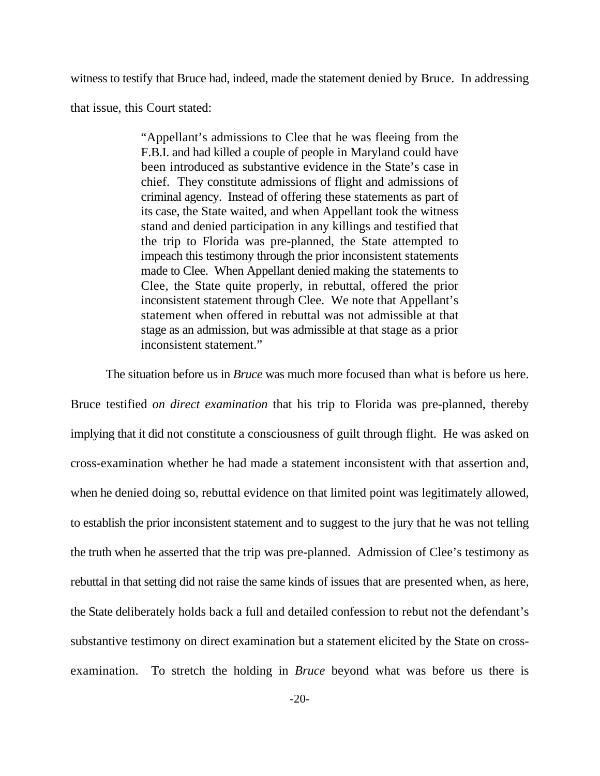witness to testify that Bruce had, indeed, made the statement denied by Bruce. In addressing

that issue, this Court stated:

"Appellant's admissions to Clee that he was fleeing from the F.B.I. and had killed a couple of people in Maryland could have been introduced as substantive evidence in the State's case in chief. They constitute admissions of flight and admissions of criminal agency. Instead of offering these statements as part of its case, the State waited, and when Appellant took the witness stand and denied participation in any killings and testified that the trip to Florida was pre-planned, the State attempted to impeach this testimony through the prior inconsistent statements made to Clee. When Appellant denied making the statements to Clee, the State quite properly, in rebuttal, offered the prior inconsistent statement through Clee. We note that Appellant's statement when offered in rebuttal was not admissible at that stage as an admission, but was admissible at that stage as a prior inconsistent statement."

The situation before us in *Bruce* was much more focused than what is before us here.

Bruce testified *on direct examination* that his trip to Florida was pre-planned, thereby implying that it did not constitute a consciousness of guilt through flight. He was asked on cross-examination whether he had made a statement inconsistent with that assertion and, when he denied doing so, rebuttal evidence on that limited point was legitimately allowed, to establish the prior inconsistent statement and to suggest to the jury that he was not telling the truth when he asserted that the trip was pre-planned. Admission of Clee's testimony as rebuttal in that setting did not raise the same kinds of issues that are presented when, as here, the State deliberately holds back a full and detailed confession to rebut not the defendant's substantive testimony on direct examination but a statement elicited by the State on crossexamination. To stretch the holding in *Bruce* beyond what was before us there is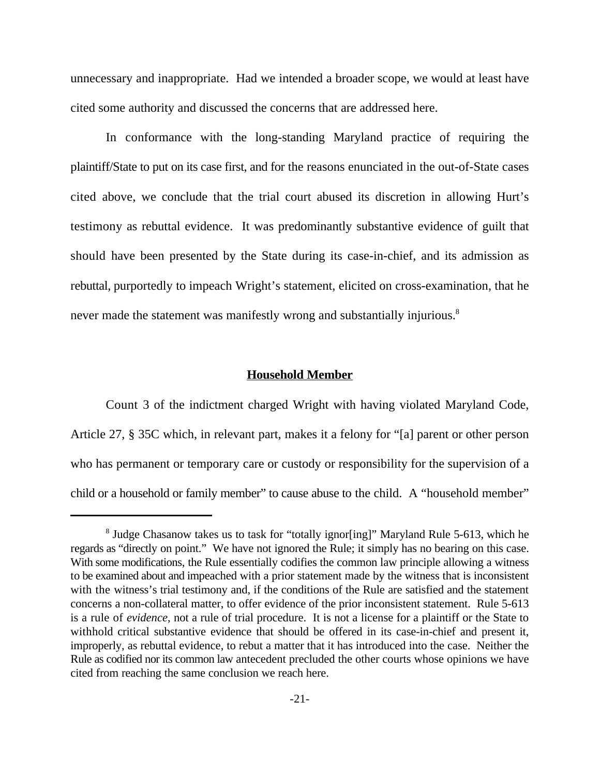unnecessary and inappropriate. Had we intended a broader scope, we would at least have cited some authority and discussed the concerns that are addressed here.

In conformance with the long-standing Maryland practice of requiring the plaintiff/State to put on its case first, and for the reasons enunciated in the out-of-State cases cited above, we conclude that the trial court abused its discretion in allowing Hurt's testimony as rebuttal evidence. It was predominantly substantive evidence of guilt that should have been presented by the State during its case-in-chief, and its admission as rebuttal, purportedly to impeach Wright's statement, elicited on cross-examination, that he never made the statement was manifestly wrong and substantially injurious.<sup>8</sup>

### **Household Member**

Count 3 of the indictment charged Wright with having violated Maryland Code, Article 27, § 35C which, in relevant part, makes it a felony for "[a] parent or other person who has permanent or temporary care or custody or responsibility for the supervision of a child or a household or family member" to cause abuse to the child. A "household member"

<sup>&</sup>lt;sup>8</sup> Judge Chasanow takes us to task for "totally ignor[ing]" Maryland Rule 5-613, which he regards as "directly on point." We have not ignored the Rule; it simply has no bearing on this case. With some modifications, the Rule essentially codifies the common law principle allowing a witness to be examined about and impeached with a prior statement made by the witness that is inconsistent with the witness's trial testimony and, if the conditions of the Rule are satisfied and the statement concerns a non-collateral matter, to offer evidence of the prior inconsistent statement. Rule 5-613 is a rule of *evidence*, not a rule of trial procedure. It is not a license for a plaintiff or the State to withhold critical substantive evidence that should be offered in its case-in-chief and present it, improperly, as rebuttal evidence, to rebut a matter that it has introduced into the case. Neither the Rule as codified nor its common law antecedent precluded the other courts whose opinions we have cited from reaching the same conclusion we reach here.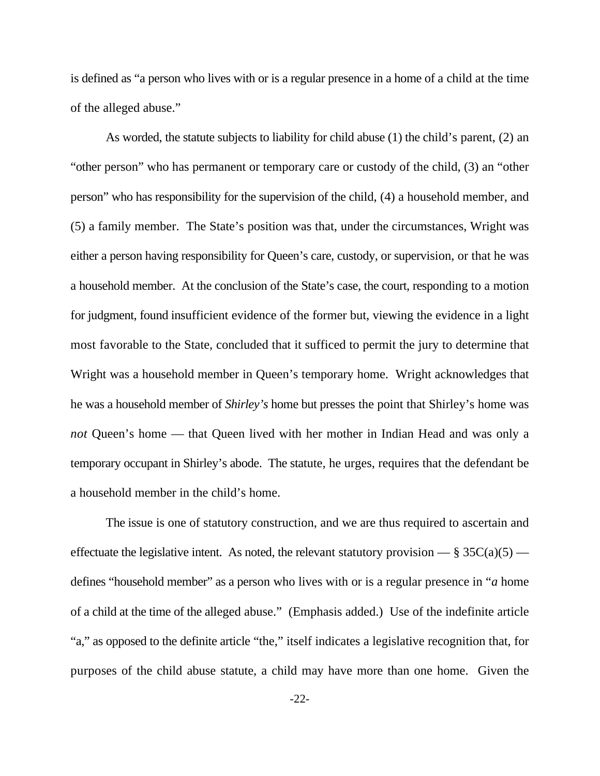is defined as "a person who lives with or is a regular presence in a home of a child at the time of the alleged abuse."

As worded, the statute subjects to liability for child abuse (1) the child's parent, (2) an "other person" who has permanent or temporary care or custody of the child, (3) an "other person" who has responsibility for the supervision of the child, (4) a household member, and (5) a family member. The State's position was that, under the circumstances, Wright was either a person having responsibility for Queen's care, custody, or supervision, or that he was a household member. At the conclusion of the State's case, the court, responding to a motion for judgment, found insufficient evidence of the former but, viewing the evidence in a light most favorable to the State, concluded that it sufficed to permit the jury to determine that Wright was a household member in Queen's temporary home. Wright acknowledges that he was a household member of *Shirley's* home but presses the point that Shirley's home was *not* Queen's home — that Queen lived with her mother in Indian Head and was only a temporary occupant in Shirley's abode. The statute, he urges, requires that the defendant be a household member in the child's home.

The issue is one of statutory construction, and we are thus required to ascertain and effectuate the legislative intent. As noted, the relevant statutory provision  $-\frac{8}{9}$  35C(a)(5) defines "household member" as a person who lives with or is a regular presence in "*a* home of a child at the time of the alleged abuse." (Emphasis added.) Use of the indefinite article "a," as opposed to the definite article "the," itself indicates a legislative recognition that, for purposes of the child abuse statute, a child may have more than one home. Given the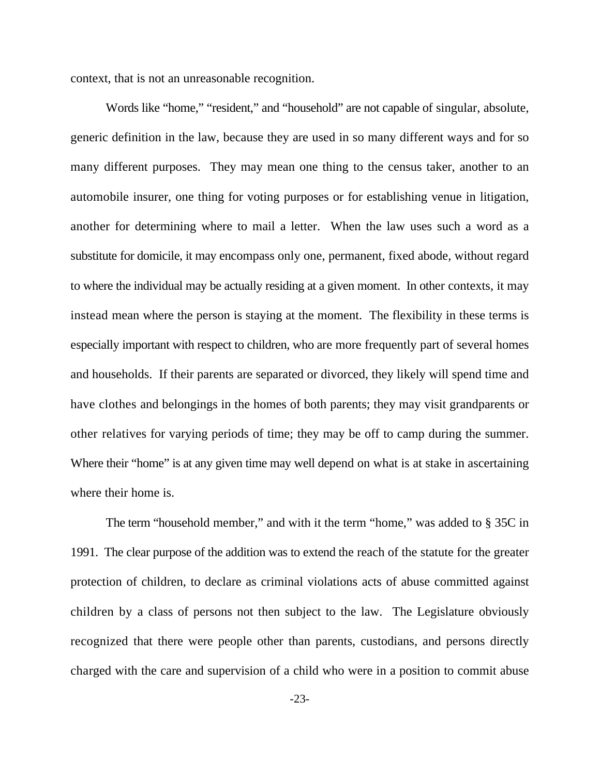context, that is not an unreasonable recognition.

Words like "home," "resident," and "household" are not capable of singular, absolute, generic definition in the law, because they are used in so many different ways and for so many different purposes. They may mean one thing to the census taker, another to an automobile insurer, one thing for voting purposes or for establishing venue in litigation, another for determining where to mail a letter. When the law uses such a word as a substitute for domicile, it may encompass only one, permanent, fixed abode, without regard to where the individual may be actually residing at a given moment. In other contexts, it may instead mean where the person is staying at the moment. The flexibility in these terms is especially important with respect to children, who are more frequently part of several homes and households. If their parents are separated or divorced, they likely will spend time and have clothes and belongings in the homes of both parents; they may visit grandparents or other relatives for varying periods of time; they may be off to camp during the summer. Where their "home" is at any given time may well depend on what is at stake in ascertaining where their home is.

The term "household member," and with it the term "home," was added to § 35C in 1991. The clear purpose of the addition was to extend the reach of the statute for the greater protection of children, to declare as criminal violations acts of abuse committed against children by a class of persons not then subject to the law. The Legislature obviously recognized that there were people other than parents, custodians, and persons directly charged with the care and supervision of a child who were in a position to commit abuse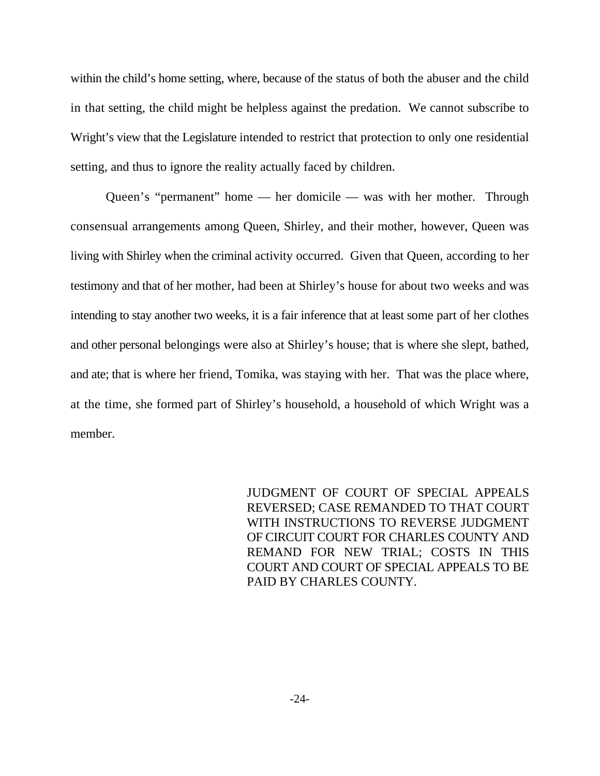within the child's home setting, where, because of the status of both the abuser and the child in that setting, the child might be helpless against the predation. We cannot subscribe to Wright's view that the Legislature intended to restrict that protection to only one residential setting, and thus to ignore the reality actually faced by children.

Queen's "permanent" home — her domicile — was with her mother. Through consensual arrangements among Queen, Shirley, and their mother, however, Queen was living with Shirley when the criminal activity occurred. Given that Queen, according to her testimony and that of her mother, had been at Shirley's house for about two weeks and was intending to stay another two weeks, it is a fair inference that at least some part of her clothes and other personal belongings were also at Shirley's house; that is where she slept, bathed, and ate; that is where her friend, Tomika, was staying with her. That was the place where, at the time, she formed part of Shirley's household, a household of which Wright was a member.

> JUDGMENT OF COURT OF SPECIAL APPEALS REVERSED; CASE REMANDED TO THAT COURT WITH INSTRUCTIONS TO REVERSE JUDGMENT OF CIRCUIT COURT FOR CHARLES COUNTY AND REMAND FOR NEW TRIAL; COSTS IN THIS COURT AND COURT OF SPECIAL APPEALS TO BE PAID BY CHARLES COUNTY.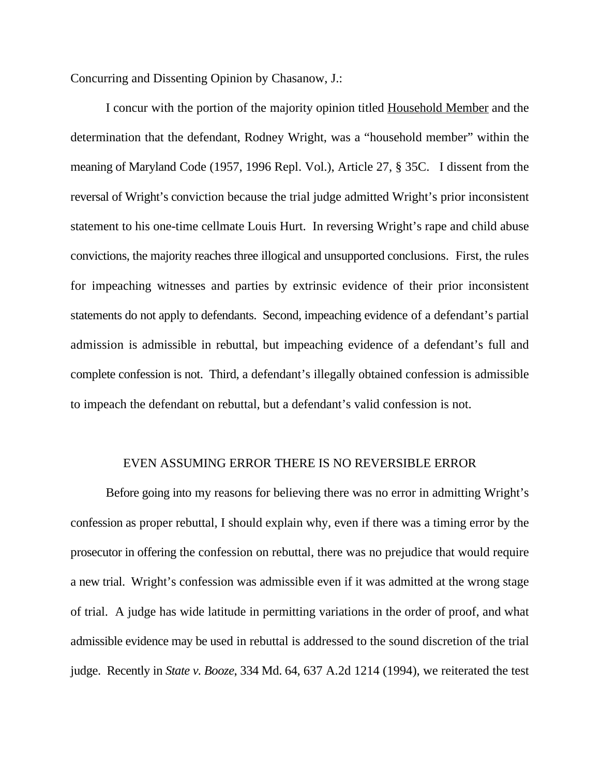Concurring and Dissenting Opinion by Chasanow, J.:

I concur with the portion of the majority opinion titled Household Member and the determination that the defendant, Rodney Wright, was a "household member" within the meaning of Maryland Code (1957, 1996 Repl. Vol.), Article 27, § 35C. I dissent from the reversal of Wright's conviction because the trial judge admitted Wright's prior inconsistent statement to his one-time cellmate Louis Hurt. In reversing Wright's rape and child abuse convictions, the majority reaches three illogical and unsupported conclusions. First, the rules for impeaching witnesses and parties by extrinsic evidence of their prior inconsistent statements do not apply to defendants. Second, impeaching evidence of a defendant's partial admission is admissible in rebuttal, but impeaching evidence of a defendant's full and complete confession is not. Third, a defendant's illegally obtained confession is admissible to impeach the defendant on rebuttal, but a defendant's valid confession is not.

## EVEN ASSUMING ERROR THERE IS NO REVERSIBLE ERROR

Before going into my reasons for believing there was no error in admitting Wright's confession as proper rebuttal, I should explain why, even if there was a timing error by the prosecutor in offering the confession on rebuttal, there was no prejudice that would require a new trial. Wright's confession was admissible even if it was admitted at the wrong stage of trial. A judge has wide latitude in permitting variations in the order of proof, and what admissible evidence may be used in rebuttal is addressed to the sound discretion of the trial judge. Recently in *State v. Booze*, 334 Md. 64, 637 A.2d 1214 (1994), we reiterated the test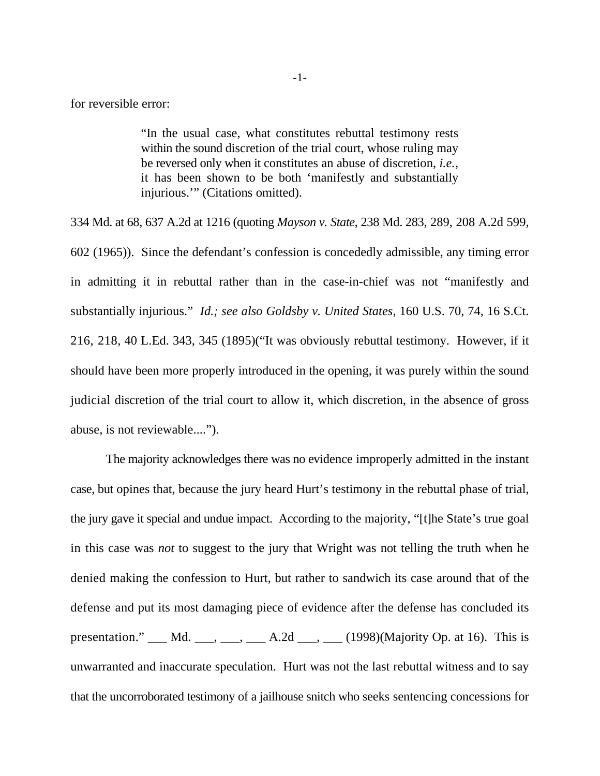for reversible error:

"In the usual case, what constitutes rebuttal testimony rests within the sound discretion of the trial court, whose ruling may be reversed only when it constitutes an abuse of discretion, *i.e.*, it has been shown to be both 'manifestly and substantially injurious.'" (Citations omitted).

334 Md. at 68, 637 A.2d at 1216 (quoting *Mayson v. State*, 238 Md. 283, 289, 208 A.2d 599, 602 (1965)). Since the defendant's confession is concededly admissible, any timing error in admitting it in rebuttal rather than in the case-in-chief was not "manifestly and substantially injurious." *Id.; see also Goldsby v. United States*, 160 U.S. 70, 74, 16 S.Ct. 216, 218, 40 L.Ed. 343, 345 (1895)("It was obviously rebuttal testimony. However, if it should have been more properly introduced in the opening, it was purely within the sound judicial discretion of the trial court to allow it, which discretion, in the absence of gross abuse, is not reviewable....").

The majority acknowledges there was no evidence improperly admitted in the instant case, but opines that, because the jury heard Hurt's testimony in the rebuttal phase of trial, the jury gave it special and undue impact. According to the majority, "[t]he State's true goal in this case was *not* to suggest to the jury that Wright was not telling the truth when he denied making the confession to Hurt, but rather to sandwich its case around that of the defense and put its most damaging piece of evidence after the defense has concluded its presentation."  $\underline{\hspace{1cm}}$  Md.  $\underline{\hspace{1cm}}$ ,  $\underline{\hspace{1cm}}$ ,  $\underline{\hspace{1cm}}$ , A.2d  $\underline{\hspace{1cm}}$ ,  $\underline{\hspace{1cm}}$ ,  $(1998)(\text{Majority Op. at 16})$ . This is unwarranted and inaccurate speculation. Hurt was not the last rebuttal witness and to say that the uncorroborated testimony of a jailhouse snitch who seeks sentencing concessions for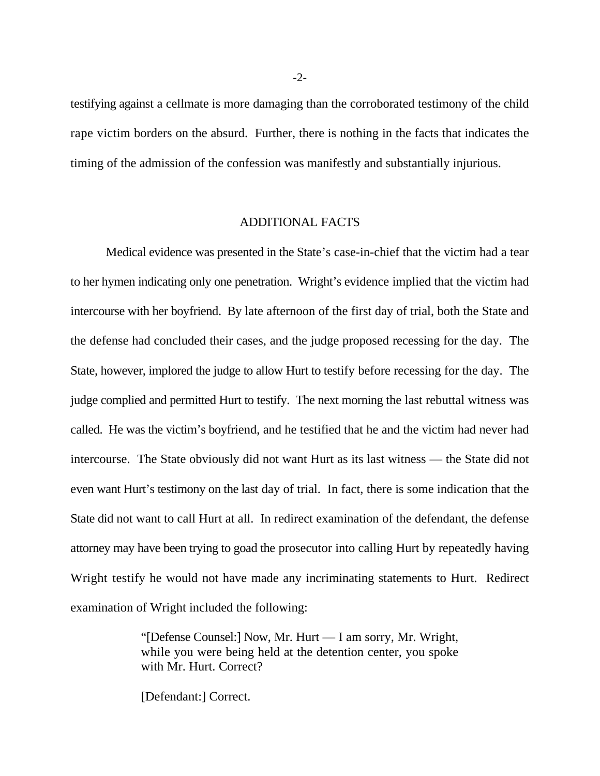testifying against a cellmate is more damaging than the corroborated testimony of the child rape victim borders on the absurd. Further, there is nothing in the facts that indicates the timing of the admission of the confession was manifestly and substantially injurious.

# ADDITIONAL FACTS

Medical evidence was presented in the State's case-in-chief that the victim had a tear to her hymen indicating only one penetration. Wright's evidence implied that the victim had intercourse with her boyfriend. By late afternoon of the first day of trial, both the State and the defense had concluded their cases, and the judge proposed recessing for the day. The State, however, implored the judge to allow Hurt to testify before recessing for the day. The judge complied and permitted Hurt to testify. The next morning the last rebuttal witness was called. He was the victim's boyfriend, and he testified that he and the victim had never had intercourse. The State obviously did not want Hurt as its last witness — the State did not even want Hurt's testimony on the last day of trial. In fact, there is some indication that the State did not want to call Hurt at all. In redirect examination of the defendant, the defense attorney may have been trying to goad the prosecutor into calling Hurt by repeatedly having Wright testify he would not have made any incriminating statements to Hurt. Redirect examination of Wright included the following:

> "[Defense Counsel:] Now, Mr. Hurt — I am sorry, Mr. Wright, while you were being held at the detention center, you spoke with Mr. Hurt. Correct?

[Defendant:] Correct.

-2-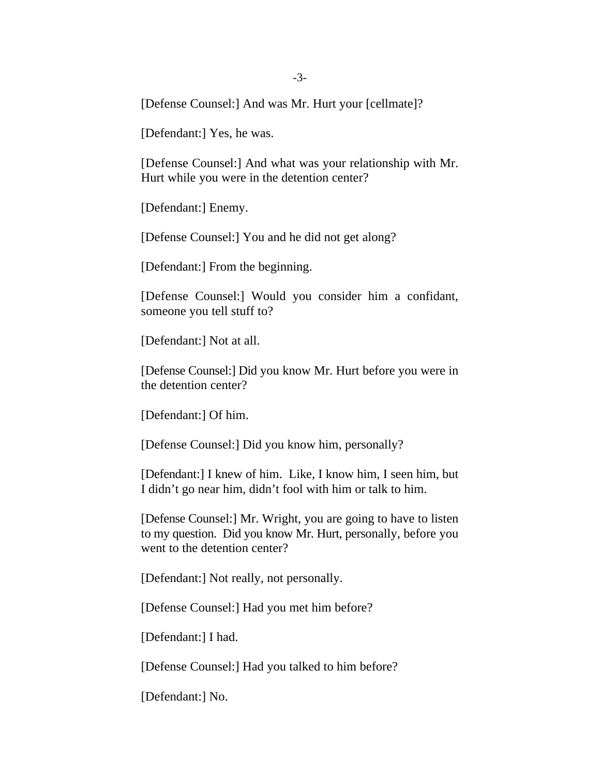[Defense Counsel:] And was Mr. Hurt your [cellmate]?

[Defendant:] Yes, he was.

[Defense Counsel:] And what was your relationship with Mr. Hurt while you were in the detention center?

[Defendant:] Enemy.

[Defense Counsel:] You and he did not get along?

[Defendant:] From the beginning.

[Defense Counsel:] Would you consider him a confidant, someone you tell stuff to?

[Defendant:] Not at all.

[Defense Counsel:] Did you know Mr. Hurt before you were in the detention center?

[Defendant:] Of him.

[Defense Counsel:] Did you know him, personally?

[Defendant:] I knew of him. Like, I know him, I seen him, but I didn't go near him, didn't fool with him or talk to him.

[Defense Counsel:] Mr. Wright, you are going to have to listen to my question. Did you know Mr. Hurt, personally, before you went to the detention center?

[Defendant:] Not really, not personally.

[Defense Counsel:] Had you met him before?

[Defendant:] I had.

[Defense Counsel:] Had you talked to him before?

[Defendant:] No.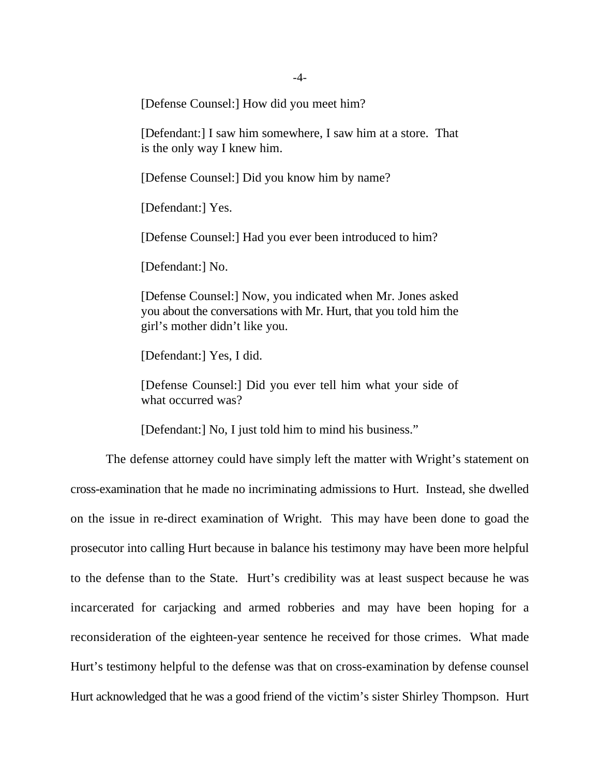[Defense Counsel:] How did you meet him?

[Defendant:] I saw him somewhere, I saw him at a store. That is the only way I knew him.

[Defense Counsel:] Did you know him by name?

[Defendant:] Yes.

[Defense Counsel:] Had you ever been introduced to him?

[Defendant:] No.

[Defense Counsel:] Now, you indicated when Mr. Jones asked you about the conversations with Mr. Hurt, that you told him the girl's mother didn't like you.

[Defendant:] Yes, I did.

[Defense Counsel:] Did you ever tell him what your side of what occurred was?

[Defendant:] No, I just told him to mind his business."

The defense attorney could have simply left the matter with Wright's statement on cross-examination that he made no incriminating admissions to Hurt. Instead, she dwelled on the issue in re-direct examination of Wright. This may have been done to goad the prosecutor into calling Hurt because in balance his testimony may have been more helpful to the defense than to the State. Hurt's credibility was at least suspect because he was incarcerated for carjacking and armed robberies and may have been hoping for a reconsideration of the eighteen-year sentence he received for those crimes. What made Hurt's testimony helpful to the defense was that on cross-examination by defense counsel Hurt acknowledged that he was a good friend of the victim's sister Shirley Thompson. Hurt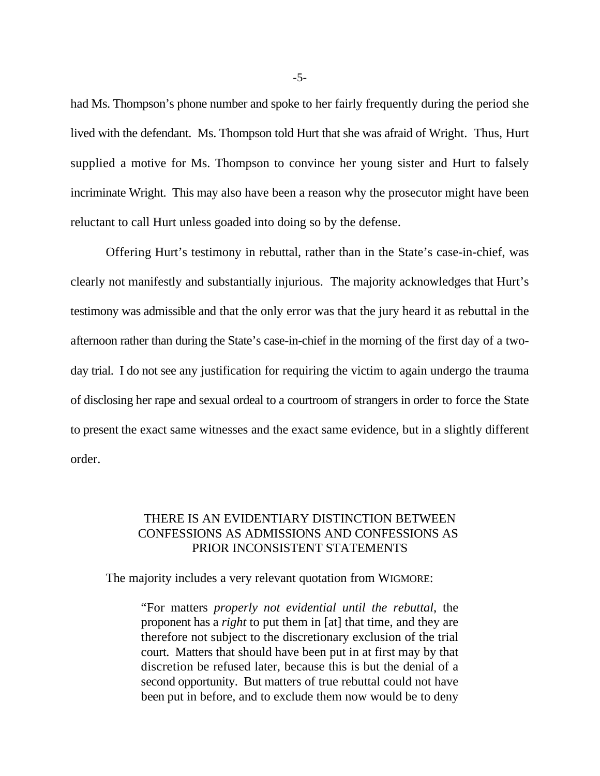had Ms. Thompson's phone number and spoke to her fairly frequently during the period she lived with the defendant. Ms. Thompson told Hurt that she was afraid of Wright. Thus, Hurt supplied a motive for Ms. Thompson to convince her young sister and Hurt to falsely incriminate Wright. This may also have been a reason why the prosecutor might have been reluctant to call Hurt unless goaded into doing so by the defense.

Offering Hurt's testimony in rebuttal, rather than in the State's case-in-chief, was clearly not manifestly and substantially injurious. The majority acknowledges that Hurt's testimony was admissible and that the only error was that the jury heard it as rebuttal in the afternoon rather than during the State's case-in-chief in the morning of the first day of a twoday trial. I do not see any justification for requiring the victim to again undergo the trauma of disclosing her rape and sexual ordeal to a courtroom of strangers in order to force the State to present the exact same witnesses and the exact same evidence, but in a slightly different order.

# THERE IS AN EVIDENTIARY DISTINCTION BETWEEN CONFESSIONS AS ADMISSIONS AND CONFESSIONS AS PRIOR INCONSISTENT STATEMENTS

The majority includes a very relevant quotation from WIGMORE:

"For matters *properly not evidential until the rebuttal*, the proponent has a *right* to put them in [at] that time, and they are therefore not subject to the discretionary exclusion of the trial court. Matters that should have been put in at first may by that discretion be refused later, because this is but the denial of a second opportunity. But matters of true rebuttal could not have been put in before, and to exclude them now would be to deny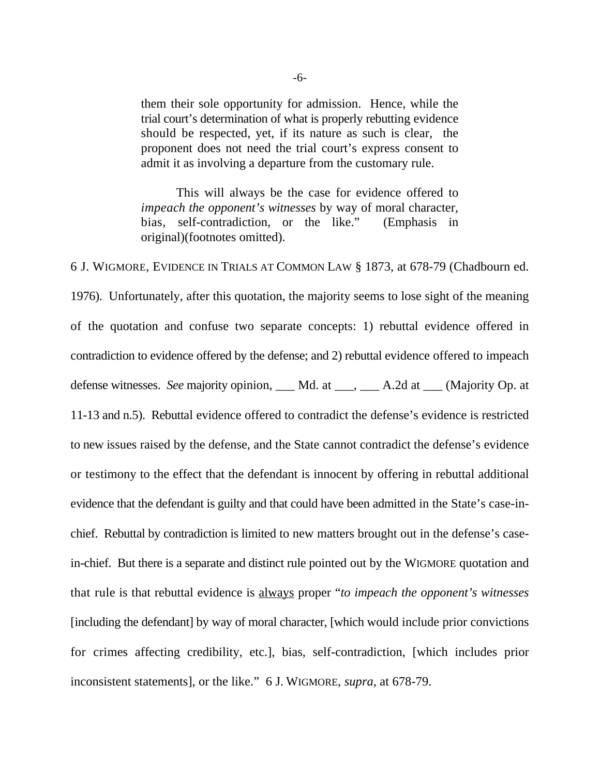them their sole opportunity for admission. Hence, while the trial court's determination of what is properly rebutting evidence should be respected, yet, if its nature as such is clear*,* the proponent does not need the trial court's express consent to admit it as involving a departure from the customary rule.

This will always be the case for evidence offered to *impeach the opponent's witnesses* by way of moral character, bias, self-contradiction, or the like." (Emphasis in original)(footnotes omitted).

6 J. WIGMORE, EVIDENCE IN TRIALS AT COMMON LAW § 1873, at 678-79 (Chadbourn ed. 1976). Unfortunately, after this quotation, the majority seems to lose sight of the meaning of the quotation and confuse two separate concepts: 1) rebuttal evidence offered in contradiction to evidence offered by the defense; and 2) rebuttal evidence offered to impeach defense witnesses. *See* majority opinion, \_\_\_ Md. at \_\_\_, \_\_\_ A.2d at \_\_\_ (Majority Op. at 11-13 and n.5). Rebuttal evidence offered to contradict the defense's evidence is restricted to new issues raised by the defense, and the State cannot contradict the defense's evidence or testimony to the effect that the defendant is innocent by offering in rebuttal additional evidence that the defendant is guilty and that could have been admitted in the State's case-inchief. Rebuttal by contradiction is limited to new matters brought out in the defense's casein-chief. But there is a separate and distinct rule pointed out by the WIGMORE quotation and that rule is that rebuttal evidence is always proper "*to impeach the opponent's witnesses* [including the defendant] by way of moral character, [which would include prior convictions for crimes affecting credibility, etc.], bias, self-contradiction, [which includes prior inconsistent statements], or the like." 6 J. WIGMORE, *supra*, at 678-79.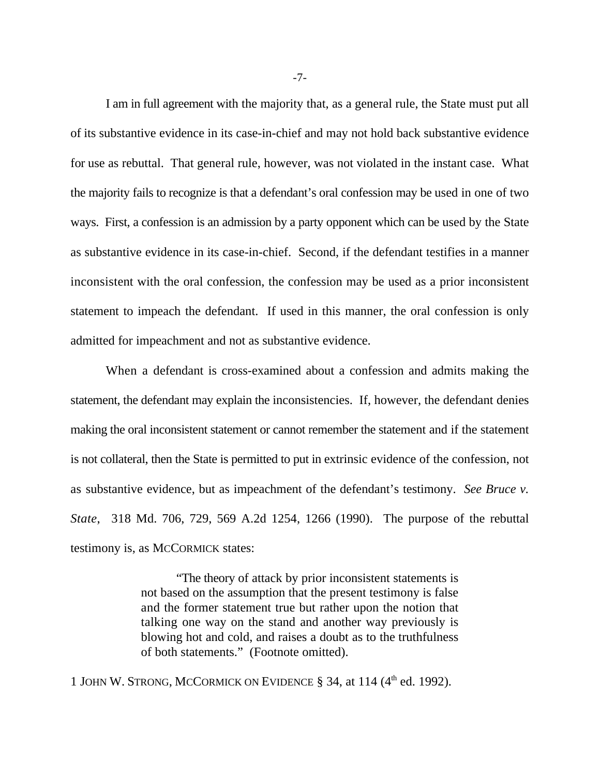I am in full agreement with the majority that, as a general rule, the State must put all of its substantive evidence in its case-in-chief and may not hold back substantive evidence for use as rebuttal. That general rule, however, was not violated in the instant case. What the majority fails to recognize is that a defendant's oral confession may be used in one of two ways. First, a confession is an admission by a party opponent which can be used by the State as substantive evidence in its case-in-chief. Second, if the defendant testifies in a manner inconsistent with the oral confession, the confession may be used as a prior inconsistent statement to impeach the defendant. If used in this manner, the oral confession is only admitted for impeachment and not as substantive evidence.

When a defendant is cross-examined about a confession and admits making the statement, the defendant may explain the inconsistencies. If, however, the defendant denies making the oral inconsistent statement or cannot remember the statement and if the statement is not collateral, then the State is permitted to put in extrinsic evidence of the confession, not as substantive evidence, but as impeachment of the defendant's testimony. *See Bruce v. State*, 318 Md. 706, 729, 569 A.2d 1254, 1266 (1990). The purpose of the rebuttal testimony is, as MCCORMICK states:

> "The theory of attack by prior inconsistent statements is not based on the assumption that the present testimony is false and the former statement true but rather upon the notion that talking one way on the stand and another way previously is blowing hot and cold, and raises a doubt as to the truthfulness of both statements." (Footnote omitted).

1 JOHN W. STRONG, MCCORMICK ON EVIDENCE  $\S$  34, at 114 (4<sup>th</sup> ed. 1992).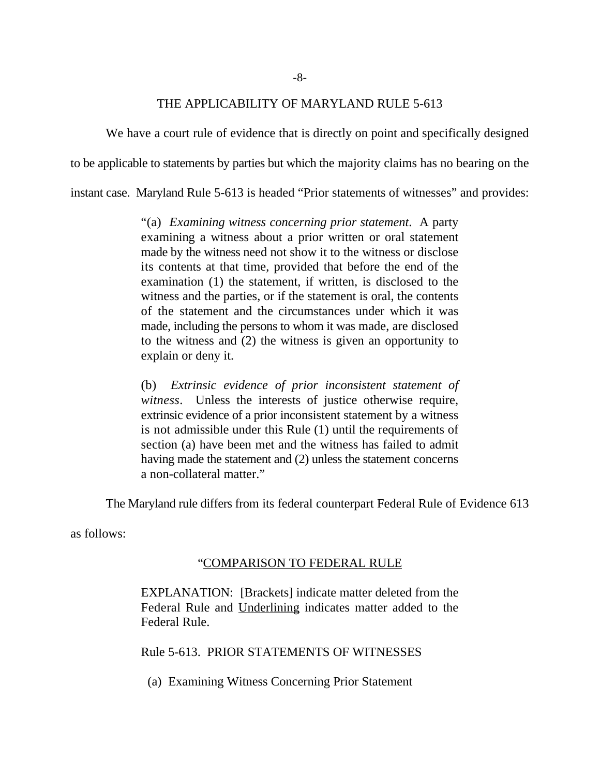### THE APPLICABILITY OF MARYLAND RULE 5-613

We have a court rule of evidence that is directly on point and specifically designed to be applicable to statements by parties but which the majority claims has no bearing on the

instant case. Maryland Rule 5-613 is headed "Prior statements of witnesses" and provides:

"(a) *Examining witness concerning prior statement*. A party examining a witness about a prior written or oral statement made by the witness need not show it to the witness or disclose its contents at that time, provided that before the end of the examination (1) the statement, if written, is disclosed to the witness and the parties, or if the statement is oral, the contents of the statement and the circumstances under which it was made, including the persons to whom it was made, are disclosed to the witness and (2) the witness is given an opportunity to explain or deny it.

(b) *Extrinsic evidence of prior inconsistent statement of witness*. Unless the interests of justice otherwise require, extrinsic evidence of a prior inconsistent statement by a witness is not admissible under this Rule (1) until the requirements of section (a) have been met and the witness has failed to admit having made the statement and (2) unless the statement concerns a non-collateral matter."

The Maryland rule differs from its federal counterpart Federal Rule of Evidence 613

as follows:

# "COMPARISON TO FEDERAL RULE

EXPLANATION: [Brackets] indicate matter deleted from the Federal Rule and Underlining indicates matter added to the Federal Rule.

Rule 5-613. PRIOR STATEMENTS OF WITNESSES

(a) Examining Witness Concerning Prior Statement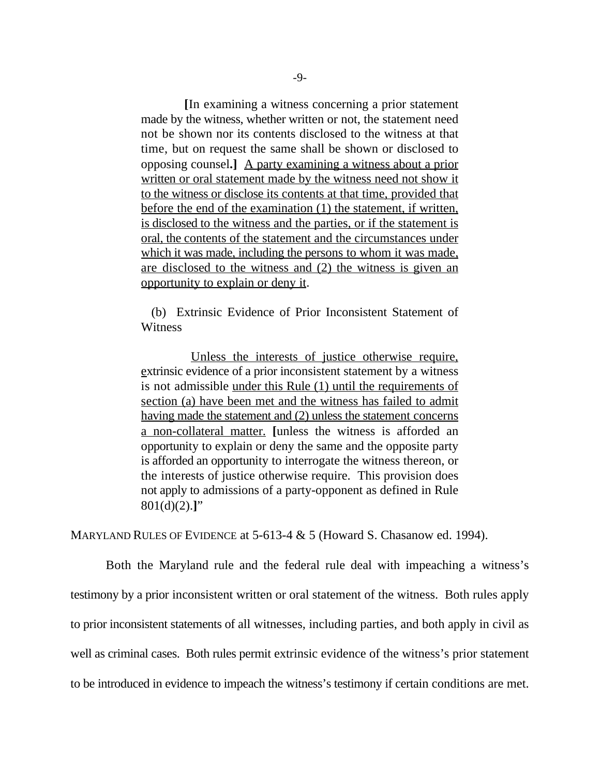**[**In examining a witness concerning a prior statement made by the witness, whether written or not, the statement need not be shown nor its contents disclosed to the witness at that time, but on request the same shall be shown or disclosed to opposing counsel**.]** A party examining a witness about a prior written or oral statement made by the witness need not show it to the witness or disclose its contents at that time, provided that before the end of the examination (1) the statement, if written, is disclosed to the witness and the parties, or if the statement is oral, the contents of the statement and the circumstances under which it was made, including the persons to whom it was made, are disclosed to the witness and (2) the witness is given an opportunity to explain or deny it.

 (b) Extrinsic Evidence of Prior Inconsistent Statement of **Witness** 

 Unless the interests of justice otherwise require, extrinsic evidence of a prior inconsistent statement by a witness is not admissible under this Rule (1) until the requirements of section (a) have been met and the witness has failed to admit having made the statement and (2) unless the statement concerns a non-collateral matter. **[**unless the witness is afforded an opportunity to explain or deny the same and the opposite party is afforded an opportunity to interrogate the witness thereon, or the interests of justice otherwise require. This provision does not apply to admissions of a party-opponent as defined in Rule 801(d)(2).**]**"

MARYLAND RULES OF EVIDENCE at 5-613-4 & 5 (Howard S. Chasanow ed. 1994).

Both the Maryland rule and the federal rule deal with impeaching a witness's testimony by a prior inconsistent written or oral statement of the witness. Both rules apply to prior inconsistent statements of all witnesses, including parties, and both apply in civil as well as criminal cases. Both rules permit extrinsic evidence of the witness's prior statement to be introduced in evidence to impeach the witness's testimony if certain conditions are met.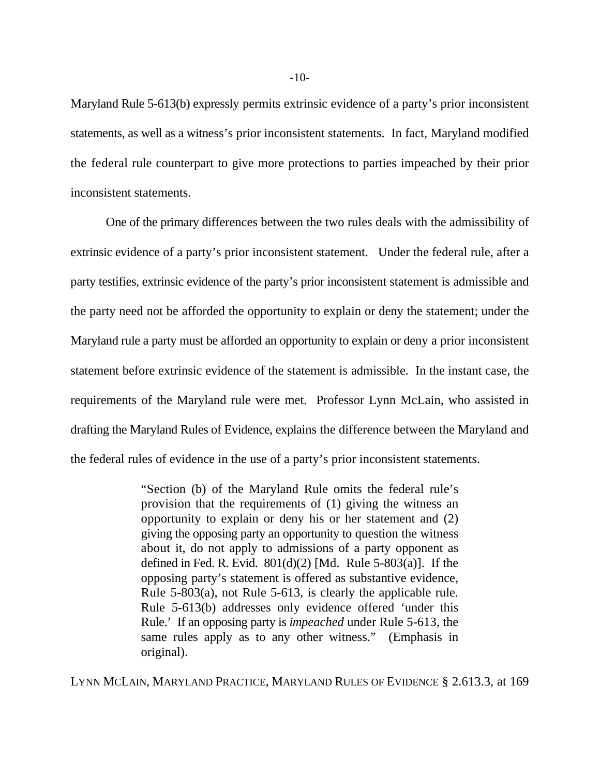Maryland Rule 5-613(b) expressly permits extrinsic evidence of a party's prior inconsistent statements, as well as a witness's prior inconsistent statements. In fact, Maryland modified the federal rule counterpart to give more protections to parties impeached by their prior inconsistent statements.

One of the primary differences between the two rules deals with the admissibility of extrinsic evidence of a party's prior inconsistent statement. Under the federal rule, after a party testifies, extrinsic evidence of the party's prior inconsistent statement is admissible and the party need not be afforded the opportunity to explain or deny the statement; under the Maryland rule a party must be afforded an opportunity to explain or deny a prior inconsistent statement before extrinsic evidence of the statement is admissible. In the instant case, the requirements of the Maryland rule were met. Professor Lynn McLain, who assisted in drafting the Maryland Rules of Evidence, explains the difference between the Maryland and the federal rules of evidence in the use of a party's prior inconsistent statements.

> "Section (b) of the Maryland Rule omits the federal rule's provision that the requirements of (1) giving the witness an opportunity to explain or deny his or her statement and (2) giving the opposing party an opportunity to question the witness about it, do not apply to admissions of a party opponent as defined in Fed. R. Evid.  $801(d)(2)$  [Md. Rule 5-803(a)]. If the opposing party's statement is offered as substantive evidence, Rule 5-803(a), not Rule 5-613, is clearly the applicable rule. Rule 5-613(b) addresses only evidence offered 'under this Rule.' If an opposing party is *impeached* under Rule 5-613, the same rules apply as to any other witness." (Emphasis in original).

LYNN MCLAIN, MARYLAND PRACTICE, MARYLAND RULES OF EVIDENCE § 2.613.3, at 169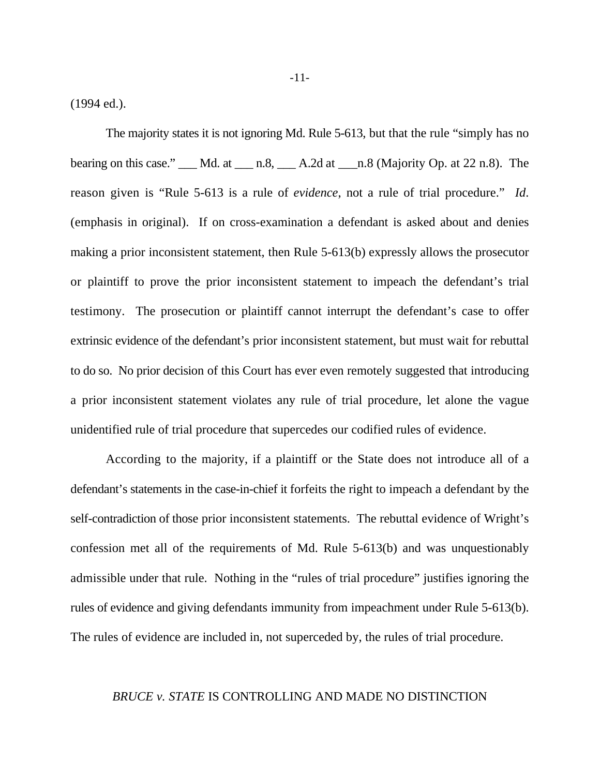(1994 ed.).

The majority states it is not ignoring Md. Rule 5-613, but that the rule "simply has no bearing on this case."  $\underline{\hspace{1cm}}$  Md. at  $\underline{\hspace{1cm}}$  n.8,  $\underline{\hspace{1cm}}$  A.2d at  $\underline{\hspace{1cm}}$  n.8 (Majority Op. at 22 n.8). The reason given is "Rule 5-613 is a rule of *evidence*, not a rule of trial procedure." *Id*. (emphasis in original). If on cross-examination a defendant is asked about and denies making a prior inconsistent statement, then Rule 5-613(b) expressly allows the prosecutor or plaintiff to prove the prior inconsistent statement to impeach the defendant's trial testimony. The prosecution or plaintiff cannot interrupt the defendant's case to offer extrinsic evidence of the defendant's prior inconsistent statement, but must wait for rebuttal to do so. No prior decision of this Court has ever even remotely suggested that introducing a prior inconsistent statement violates any rule of trial procedure, let alone the vague unidentified rule of trial procedure that supercedes our codified rules of evidence.

According to the majority, if a plaintiff or the State does not introduce all of a defendant's statements in the case-in-chief it forfeits the right to impeach a defendant by the self-contradiction of those prior inconsistent statements. The rebuttal evidence of Wright's confession met all of the requirements of Md. Rule 5-613(b) and was unquestionably admissible under that rule. Nothing in the "rules of trial procedure" justifies ignoring the rules of evidence and giving defendants immunity from impeachment under Rule 5-613(b). The rules of evidence are included in, not superceded by, the rules of trial procedure.

### *BRUCE v. STATE* IS CONTROLLING AND MADE NO DISTINCTION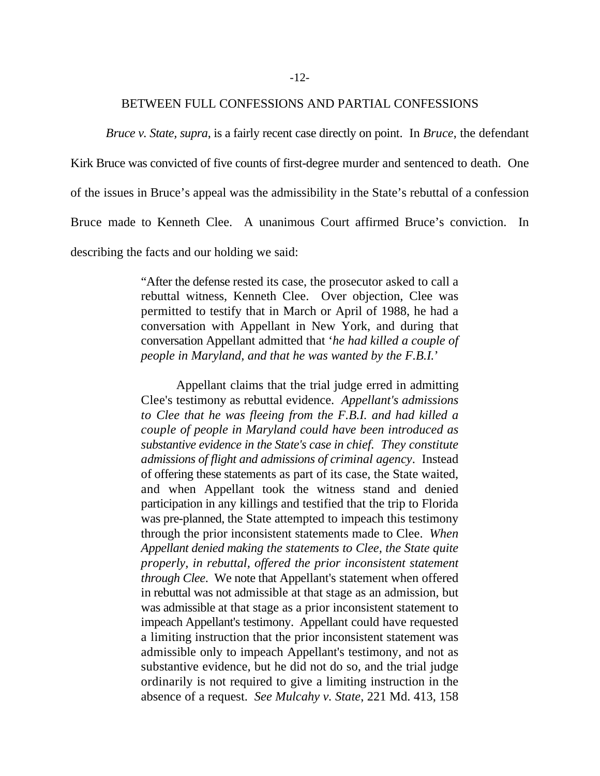#### BETWEEN FULL CONFESSIONS AND PARTIAL CONFESSIONS

*Bruce v. State, supra*, is a fairly recent case directly on point. In *Bruce*, the defendant

Kirk Bruce was convicted of five counts of first-degree murder and sentenced to death. One

of the issues in Bruce's appeal was the admissibility in the State's rebuttal of a confession

Bruce made to Kenneth Clee. A unanimous Court affirmed Bruce's conviction. In

describing the facts and our holding we said:

"After the defense rested its case, the prosecutor asked to call a rebuttal witness, Kenneth Clee. Over objection, Clee was permitted to testify that in March or April of 1988, he had a conversation with Appellant in New York, and during that conversation Appellant admitted that '*he had killed a couple of people in Maryland, and that he was wanted by the F.B.I.*'

Appellant claims that the trial judge erred in admitting Clee's testimony as rebuttal evidence. *Appellant's admissions to Clee that he was fleeing from the F.B.I. and had killed a couple of people in Maryland could have been introduced as substantive evidence in the State's case in chief. They constitute admissions of flight and admissions of criminal agency*. Instead of offering these statements as part of its case, the State waited, and when Appellant took the witness stand and denied participation in any killings and testified that the trip to Florida was pre-planned, the State attempted to impeach this testimony through the prior inconsistent statements made to Clee. *When Appellant denied making the statements to Clee, the State quite properly, in rebuttal, offered the prior inconsistent statement through Clee*. We note that Appellant's statement when offered in rebuttal was not admissible at that stage as an admission, but was admissible at that stage as a prior inconsistent statement to impeach Appellant's testimony. Appellant could have requested a limiting instruction that the prior inconsistent statement was admissible only to impeach Appellant's testimony, and not as substantive evidence, but he did not do so, and the trial judge ordinarily is not required to give a limiting instruction in the absence of a request. *See Mulcahy v. State*, 221 Md. 413, 158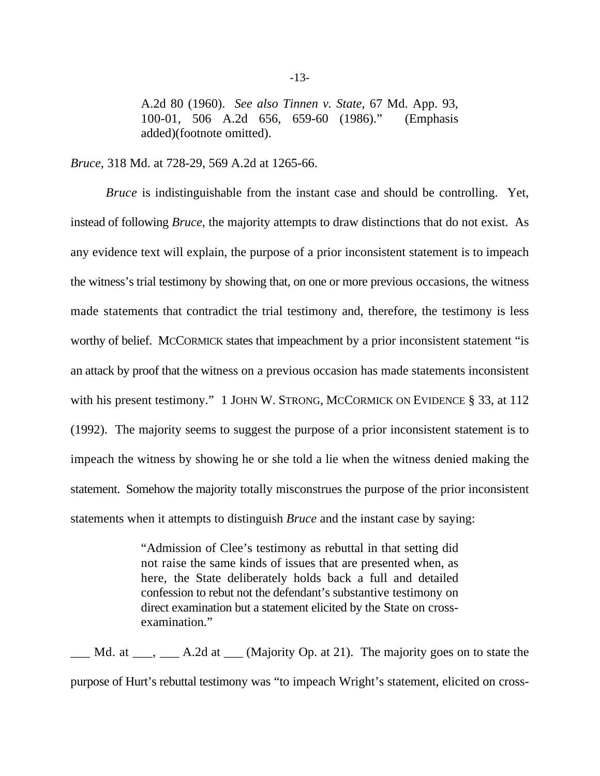A.2d 80 (1960). *See also Tinnen v. State*, 67 Md. App. 93, 100-01, 506 A.2d 656, 659-60 (1986)." (Emphasis added)(footnote omitted).

*Bruce*, 318 Md. at 728-29, 569 A.2d at 1265-66.

*Bruce* is indistinguishable from the instant case and should be controlling. Yet, instead of following *Bruce*, the majority attempts to draw distinctions that do not exist. As any evidence text will explain, the purpose of a prior inconsistent statement is to impeach the witness's trial testimony by showing that, on one or more previous occasions, the witness made statements that contradict the trial testimony and, therefore, the testimony is less worthy of belief. MCCORMICK states that impeachment by a prior inconsistent statement "is an attack by proof that the witness on a previous occasion has made statements inconsistent with his present testimony." 1 JOHN W. STRONG, MCCORMICK ON EVIDENCE § 33, at 112 (1992). The majority seems to suggest the purpose of a prior inconsistent statement is to impeach the witness by showing he or she told a lie when the witness denied making the statement. Somehow the majority totally misconstrues the purpose of the prior inconsistent statements when it attempts to distinguish *Bruce* and the instant case by saying:

> "Admission of Clee's testimony as rebuttal in that setting did not raise the same kinds of issues that are presented when, as here, the State deliberately holds back a full and detailed confession to rebut not the defendant's substantive testimony on direct examination but a statement elicited by the State on crossexamination."

 $\Box$  Md. at  $\Box$ ,  $\Box$  A.2d at  $\Box$  (Majority Op. at 21). The majority goes on to state the purpose of Hurt's rebuttal testimony was "to impeach Wright's statement, elicited on cross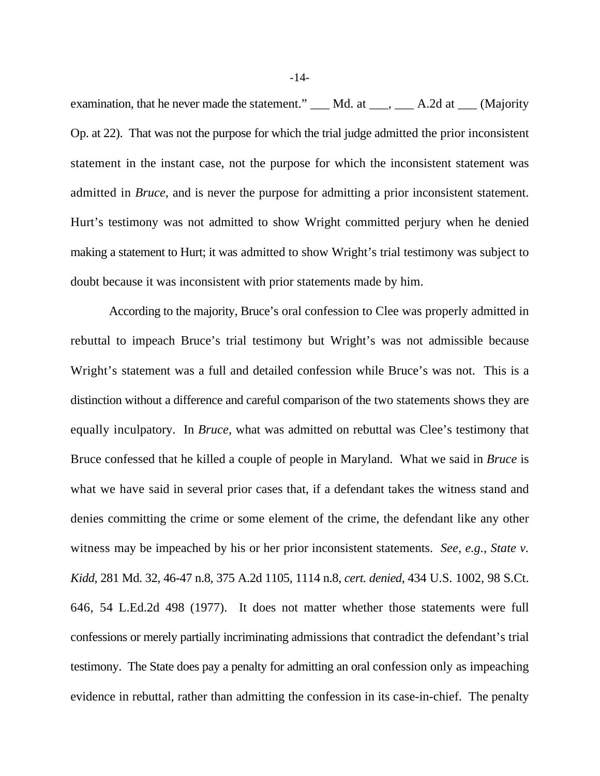examination, that he never made the statement." \_\_\_ Md. at \_\_\_, \_\_\_ A.2d at \_\_\_ (Majority Op. at 22). That was not the purpose for which the trial judge admitted the prior inconsistent statement in the instant case, not the purpose for which the inconsistent statement was admitted in *Bruce*, and is never the purpose for admitting a prior inconsistent statement. Hurt's testimony was not admitted to show Wright committed perjury when he denied making a statement to Hurt; it was admitted to show Wright's trial testimony was subject to doubt because it was inconsistent with prior statements made by him.

According to the majority, Bruce's oral confession to Clee was properly admitted in rebuttal to impeach Bruce's trial testimony but Wright's was not admissible because Wright's statement was a full and detailed confession while Bruce's was not. This is a distinction without a difference and careful comparison of the two statements shows they are equally inculpatory. In *Bruce,* what was admitted on rebuttal was Clee's testimony that Bruce confessed that he killed a couple of people in Maryland. What we said in *Bruce* is what we have said in several prior cases that, if a defendant takes the witness stand and denies committing the crime or some element of the crime, the defendant like any other witness may be impeached by his or her prior inconsistent statements. *See, e.g., State v. Kidd*, 281 Md. 32, 46-47 n.8, 375 A.2d 1105, 1114 n.8, *cert. denied*, 434 U.S. 1002, 98 S.Ct. 646, 54 L.Ed.2d 498 (1977). It does not matter whether those statements were full confessions or merely partially incriminating admissions that contradict the defendant's trial testimony. The State does pay a penalty for admitting an oral confession only as impeaching evidence in rebuttal, rather than admitting the confession in its case-in-chief. The penalty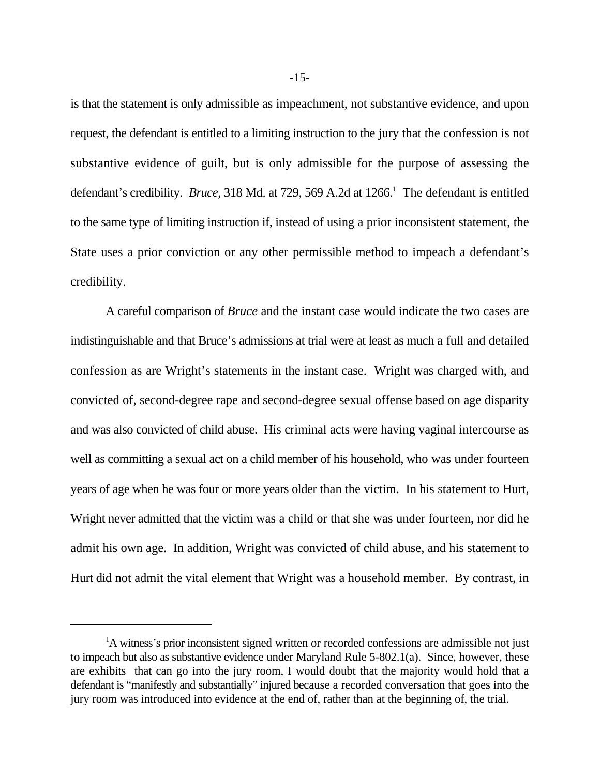is that the statement is only admissible as impeachment, not substantive evidence, and upon request, the defendant is entitled to a limiting instruction to the jury that the confession is not substantive evidence of guilt, but is only admissible for the purpose of assessing the defendant's credibility. *Bruce*, 318 Md. at 729, 569 A.2d at 1266.<sup>1</sup> The defendant is entitled to the same type of limiting instruction if, instead of using a prior inconsistent statement, the State uses a prior conviction or any other permissible method to impeach a defendant's credibility.

A careful comparison of *Bruce* and the instant case would indicate the two cases are indistinguishable and that Bruce's admissions at trial were at least as much a full and detailed confession as are Wright's statements in the instant case. Wright was charged with, and convicted of, second-degree rape and second-degree sexual offense based on age disparity and was also convicted of child abuse. His criminal acts were having vaginal intercourse as well as committing a sexual act on a child member of his household, who was under fourteen years of age when he was four or more years older than the victim. In his statement to Hurt, Wright never admitted that the victim was a child or that she was under fourteen, nor did he admit his own age. In addition, Wright was convicted of child abuse, and his statement to Hurt did not admit the vital element that Wright was a household member. By contrast, in

<sup>&</sup>lt;sup>1</sup>A witness's prior inconsistent signed written or recorded confessions are admissible not just to impeach but also as substantive evidence under Maryland Rule 5-802.1(a). Since, however, these are exhibits that can go into the jury room, I would doubt that the majority would hold that a defendant is "manifestly and substantially" injured because a recorded conversation that goes into the jury room was introduced into evidence at the end of, rather than at the beginning of, the trial.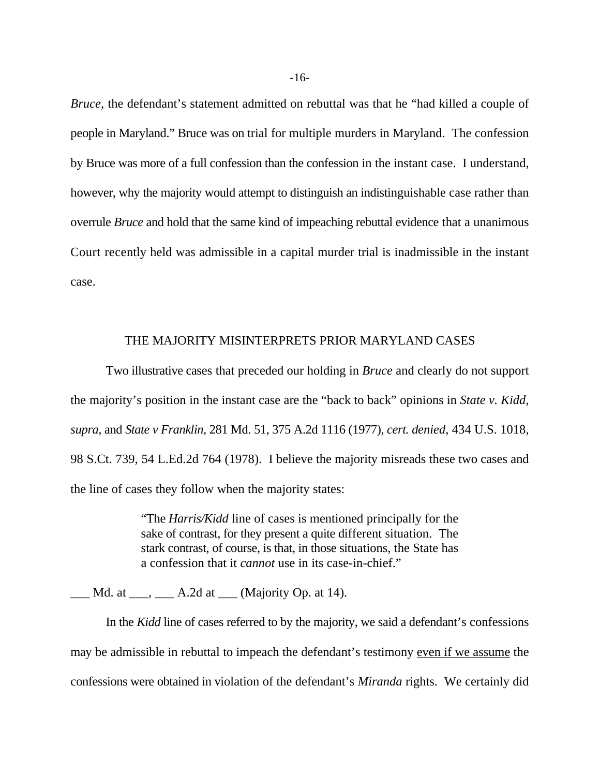*Bruce,* the defendant's statement admitted on rebuttal was that he "had killed a couple of people in Maryland." Bruce was on trial for multiple murders in Maryland. The confession by Bruce was more of a full confession than the confession in the instant case. I understand, however, why the majority would attempt to distinguish an indistinguishable case rather than overrule *Bruce* and hold that the same kind of impeaching rebuttal evidence that a unanimous Court recently held was admissible in a capital murder trial is inadmissible in the instant case.

# THE MAJORITY MISINTERPRETS PRIOR MARYLAND CASES

Two illustrative cases that preceded our holding in *Bruce* and clearly do not support the majority's position in the instant case are the "back to back" opinions in *State v. Kidd, supra*, and *State v Franklin*, 281 Md. 51, 375 A.2d 1116 (1977), *cert. denied*, 434 U.S. 1018, 98 S.Ct. 739, 54 L.Ed.2d 764 (1978). I believe the majority misreads these two cases and the line of cases they follow when the majority states:

> "The *Harris/Kidd* line of cases is mentioned principally for the sake of contrast, for they present a quite different situation. The stark contrast, of course, is that, in those situations, the State has a confession that it *cannot* use in its case-in-chief."

 $\underline{\hspace{1cm}}$  Md. at  $\underline{\hspace{1cm}}$ ,  $\underline{\hspace{1cm}}$  A.2d at  $\underline{\hspace{1cm}}$  (Majority Op. at 14).

In the *Kidd* line of cases referred to by the majority, we said a defendant's confessions may be admissible in rebuttal to impeach the defendant's testimony even if we assume the confessions were obtained in violation of the defendant's *Miranda* rights. We certainly did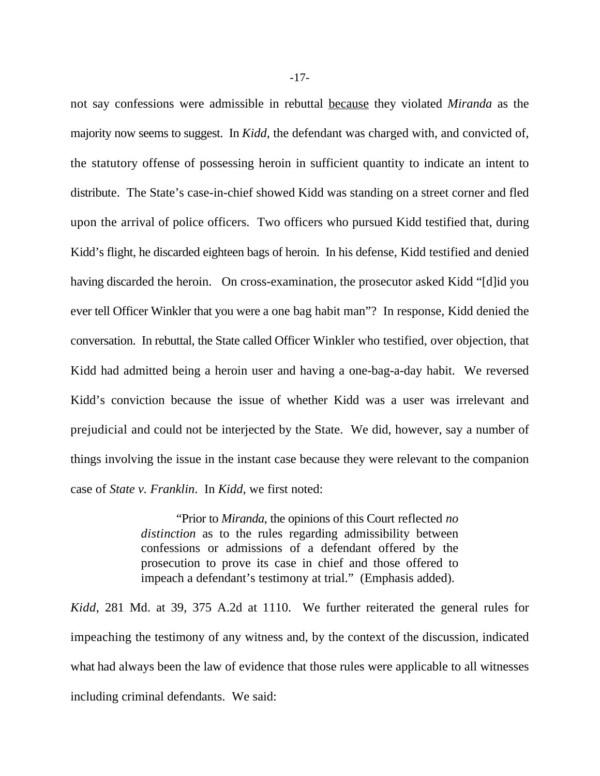not say confessions were admissible in rebuttal because they violated *Miranda* as the majority now seems to suggest. In *Kidd*, the defendant was charged with, and convicted of, the statutory offense of possessing heroin in sufficient quantity to indicate an intent to distribute. The State's case-in-chief showed Kidd was standing on a street corner and fled upon the arrival of police officers. Two officers who pursued Kidd testified that, during Kidd's flight, he discarded eighteen bags of heroin. In his defense, Kidd testified and denied having discarded the heroin. On cross-examination, the prosecutor asked Kidd "[d]id you ever tell Officer Winkler that you were a one bag habit man"? In response, Kidd denied the conversation. In rebuttal, the State called Officer Winkler who testified, over objection, that Kidd had admitted being a heroin user and having a one-bag-a-day habit. We reversed Kidd's conviction because the issue of whether Kidd was a user was irrelevant and prejudicial and could not be interjected by the State. We did, however, say a number of things involving the issue in the instant case because they were relevant to the companion case of *State v. Franklin*. In *Kidd*, we first noted:

> "Prior to *Miranda*, the opinions of this Court reflected *no distinction* as to the rules regarding admissibility between confessions or admissions of a defendant offered by the prosecution to prove its case in chief and those offered to impeach a defendant's testimony at trial." (Emphasis added).

*Kidd*, 281 Md. at 39, 375 A.2d at 1110. We further reiterated the general rules for impeaching the testimony of any witness and, by the context of the discussion, indicated what had always been the law of evidence that those rules were applicable to all witnesses including criminal defendants. We said: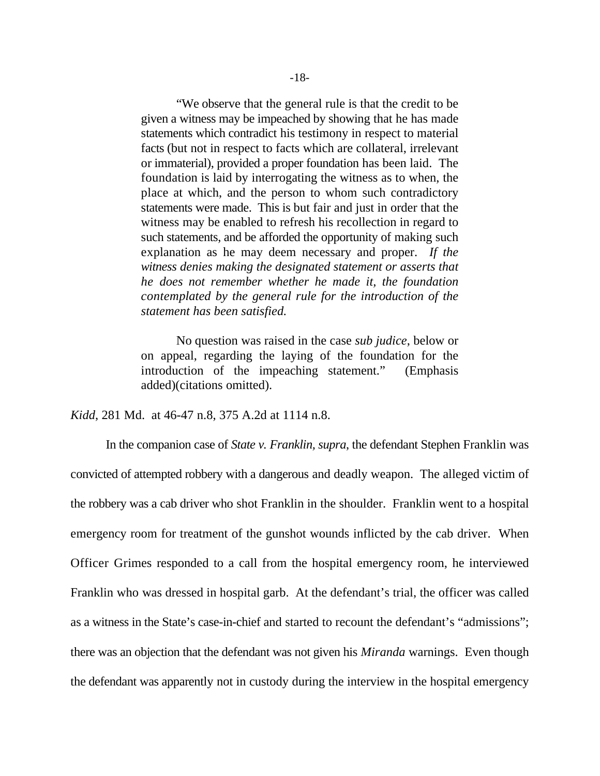"We observe that the general rule is that the credit to be given a witness may be impeached by showing that he has made statements which contradict his testimony in respect to material facts (but not in respect to facts which are collateral, irrelevant or immaterial), provided a proper foundation has been laid. The foundation is laid by interrogating the witness as to when, the place at which, and the person to whom such contradictory statements were made. This is but fair and just in order that the witness may be enabled to refresh his recollection in regard to such statements, and be afforded the opportunity of making such explanation as he may deem necessary and proper. *If the witness denies making the designated statement or asserts that he does not remember whether he made it, the foundation contemplated by the general rule for the introduction of the statement has been satisfied.*

No question was raised in the case *sub judice*, below or on appeal, regarding the laying of the foundation for the introduction of the impeaching statement." (Emphasis added)(citations omitted).

*Kidd*, 281 Md. at 46-47 n.8, 375 A.2d at 1114 n.8.

In the companion case of *State v. Franklin, supra*, the defendant Stephen Franklin was convicted of attempted robbery with a dangerous and deadly weapon. The alleged victim of the robbery was a cab driver who shot Franklin in the shoulder. Franklin went to a hospital emergency room for treatment of the gunshot wounds inflicted by the cab driver. When Officer Grimes responded to a call from the hospital emergency room, he interviewed Franklin who was dressed in hospital garb. At the defendant's trial, the officer was called as a witness in the State's case-in-chief and started to recount the defendant's "admissions"; there was an objection that the defendant was not given his *Miranda* warnings. Even though the defendant was apparently not in custody during the interview in the hospital emergency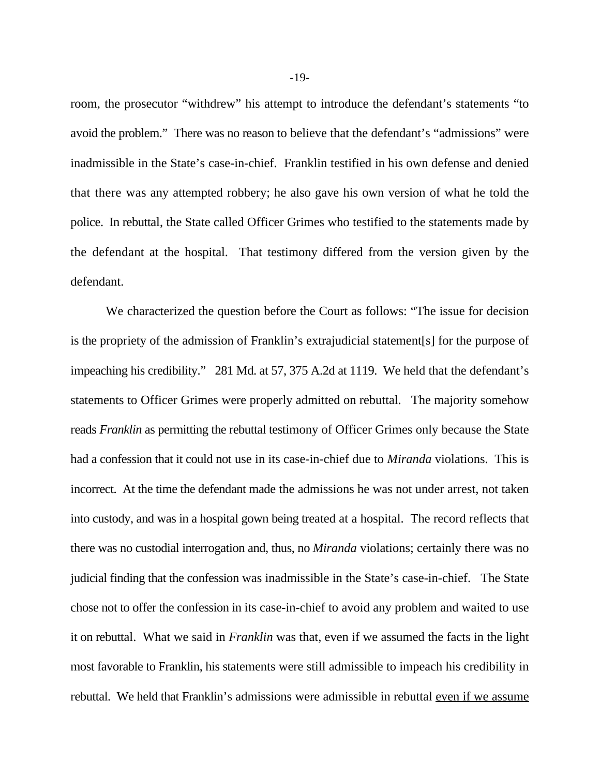room, the prosecutor "withdrew" his attempt to introduce the defendant's statements "to avoid the problem." There was no reason to believe that the defendant's "admissions" were inadmissible in the State's case-in-chief. Franklin testified in his own defense and denied that there was any attempted robbery; he also gave his own version of what he told the police. In rebuttal, the State called Officer Grimes who testified to the statements made by the defendant at the hospital. That testimony differed from the version given by the defendant.

We characterized the question before the Court as follows: "The issue for decision is the propriety of the admission of Franklin's extrajudicial statement[s] for the purpose of impeaching his credibility." 281 Md. at 57, 375 A.2d at 1119. We held that the defendant's statements to Officer Grimes were properly admitted on rebuttal. The majority somehow reads *Franklin* as permitting the rebuttal testimony of Officer Grimes only because the State had a confession that it could not use in its case-in-chief due to *Miranda* violations. This is incorrect. At the time the defendant made the admissions he was not under arrest, not taken into custody, and was in a hospital gown being treated at a hospital. The record reflects that there was no custodial interrogation and, thus, no *Miranda* violations; certainly there was no judicial finding that the confession was inadmissible in the State's case-in-chief. The State chose not to offer the confession in its case-in-chief to avoid any problem and waited to use it on rebuttal. What we said in *Franklin* was that, even if we assumed the facts in the light most favorable to Franklin, his statements were still admissible to impeach his credibility in rebuttal. We held that Franklin's admissions were admissible in rebuttal even if we assume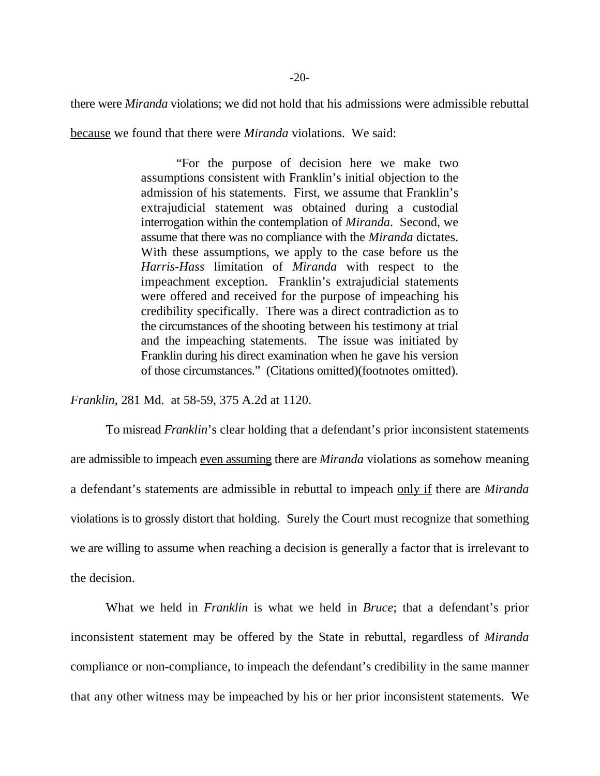there were *Miranda* violations; we did not hold that his admissions were admissible rebuttal

because we found that there were *Miranda* violations. We said:

"For the purpose of decision here we make two assumptions consistent with Franklin's initial objection to the admission of his statements. First, we assume that Franklin's extrajudicial statement was obtained during a custodial interrogation within the contemplation of *Miranda*. Second, we assume that there was no compliance with the *Miranda* dictates. With these assumptions, we apply to the case before us the *Harris-Hass* limitation of *Miranda* with respect to the impeachment exception. Franklin's extrajudicial statements were offered and received for the purpose of impeaching his credibility specifically. There was a direct contradiction as to the circumstances of the shooting between his testimony at trial and the impeaching statements. The issue was initiated by Franklin during his direct examination when he gave his version of those circumstances." (Citations omitted)(footnotes omitted).

*Franklin*, 281 Md. at 58-59, 375 A.2d at 1120.

To misread *Franklin*'s clear holding that a defendant's prior inconsistent statements are admissible to impeach even assuming there are *Miranda* violations as somehow meaning a defendant's statements are admissible in rebuttal to impeach only if there are *Miranda* violations is to grossly distort that holding. Surely the Court must recognize that something we are willing to assume when reaching a decision is generally a factor that is irrelevant to the decision.

What we held in *Franklin* is what we held in *Bruce*; that a defendant's prior inconsistent statement may be offered by the State in rebuttal, regardless of *Miranda* compliance or non-compliance, to impeach the defendant's credibility in the same manner that any other witness may be impeached by his or her prior inconsistent statements. We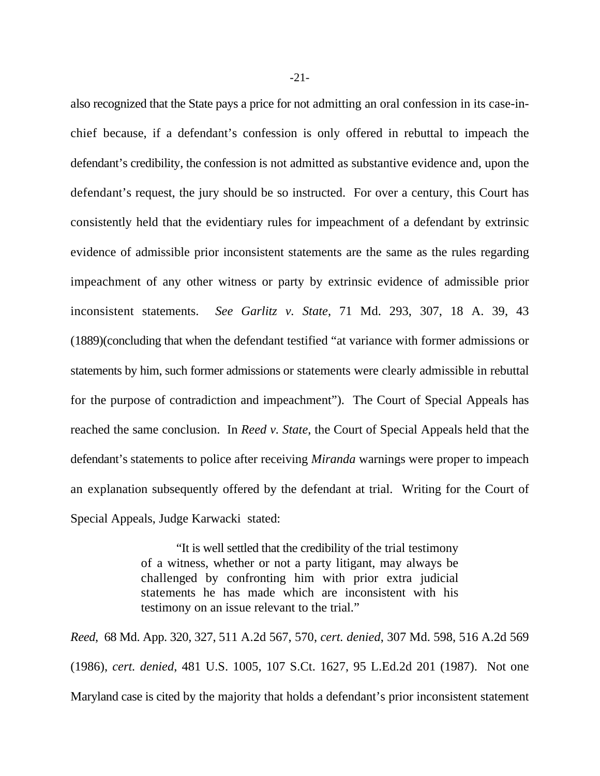also recognized that the State pays a price for not admitting an oral confession in its case-inchief because, if a defendant's confession is only offered in rebuttal to impeach the defendant's credibility, the confession is not admitted as substantive evidence and, upon the defendant's request, the jury should be so instructed. For over a century, this Court has consistently held that the evidentiary rules for impeachment of a defendant by extrinsic evidence of admissible prior inconsistent statements are the same as the rules regarding impeachment of any other witness or party by extrinsic evidence of admissible prior inconsistent statements. *See Garlitz v. State*, 71 Md. 293, 307, 18 A. 39, 43 (1889)(concluding that when the defendant testified "at variance with former admissions or statements by him, such former admissions or statements were clearly admissible in rebuttal for the purpose of contradiction and impeachment"). The Court of Special Appeals has reached the same conclusion. In *Reed v. State*, the Court of Special Appeals held that the defendant's statements to police after receiving *Miranda* warnings were proper to impeach an explanation subsequently offered by the defendant at trial. Writing for the Court of Special Appeals, Judge Karwacki stated:

> "It is well settled that the credibility of the trial testimony of a witness, whether or not a party litigant, may always be challenged by confronting him with prior extra judicial statements he has made which are inconsistent with his testimony on an issue relevant to the trial."

*Reed*, 68 Md. App. 320, 327, 511 A.2d 567, 570, *cert. denied*, 307 Md. 598, 516 A.2d 569 (1986), *cert. denied*, 481 U.S. 1005, 107 S.Ct. 1627, 95 L.Ed.2d 201 (1987). Not one Maryland case is cited by the majority that holds a defendant's prior inconsistent statement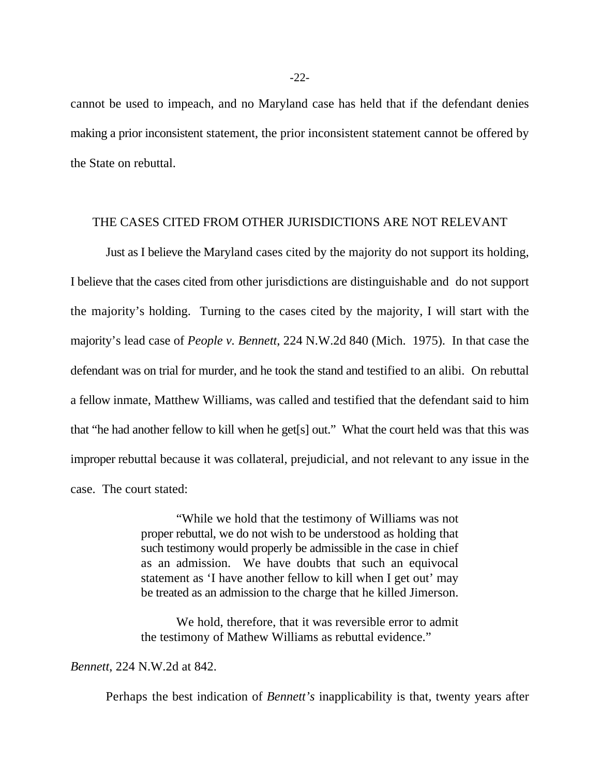cannot be used to impeach, and no Maryland case has held that if the defendant denies making a prior inconsistent statement, the prior inconsistent statement cannot be offered by the State on rebuttal.

# THE CASES CITED FROM OTHER JURISDICTIONS ARE NOT RELEVANT

Just as I believe the Maryland cases cited by the majority do not support its holding, I believe that the cases cited from other jurisdictions are distinguishable and do not support the majority's holding. Turning to the cases cited by the majority, I will start with the majority's lead case of *People v. Bennett*, 224 N.W.2d 840 (Mich. 1975). In that case the defendant was on trial for murder, and he took the stand and testified to an alibi. On rebuttal a fellow inmate, Matthew Williams, was called and testified that the defendant said to him that "he had another fellow to kill when he get[s] out." What the court held was that this was improper rebuttal because it was collateral, prejudicial, and not relevant to any issue in the case. The court stated:

> "While we hold that the testimony of Williams was not proper rebuttal, we do not wish to be understood as holding that such testimony would properly be admissible in the case in chief as an admission. We have doubts that such an equivocal statement as 'I have another fellow to kill when I get out' may be treated as an admission to the charge that he killed Jimerson.

> We hold, therefore, that it was reversible error to admit the testimony of Mathew Williams as rebuttal evidence."

### *Bennett*, 224 N.W.2d at 842.

Perhaps the best indication of *Bennett's* inapplicability is that, twenty years after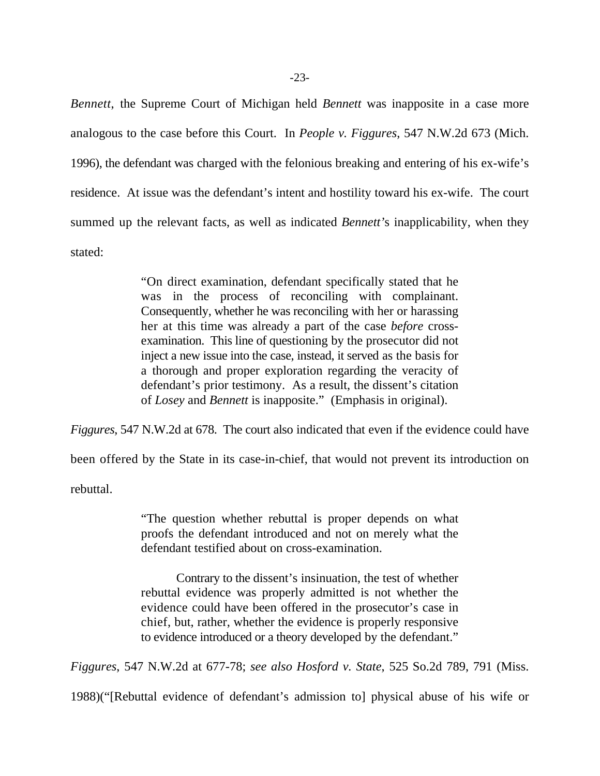*Bennett*, the Supreme Court of Michigan held *Bennett* was inapposite in a case more analogous to the case before this Court. In *People v. Figgures*, 547 N.W.2d 673 (Mich. 1996), the defendant was charged with the felonious breaking and entering of his ex-wife's residence. At issue was the defendant's intent and hostility toward his ex-wife. The court summed up the relevant facts, as well as indicated *Bennett'*s inapplicability, when they stated:

> "On direct examination, defendant specifically stated that he was in the process of reconciling with complainant. Consequently, whether he was reconciling with her or harassing her at this time was already a part of the case *before* crossexamination. This line of questioning by the prosecutor did not inject a new issue into the case, instead, it served as the basis for a thorough and proper exploration regarding the veracity of defendant's prior testimony. As a result, the dissent's citation of *Losey* and *Bennett* is inapposite." (Emphasis in original).

*Figgures*, 547 N.W.2d at 678. The court also indicated that even if the evidence could have

been offered by the State in its case-in-chief, that would not prevent its introduction on

rebuttal.

"The question whether rebuttal is proper depends on what proofs the defendant introduced and not on merely what the defendant testified about on cross-examination.

Contrary to the dissent's insinuation, the test of whether rebuttal evidence was properly admitted is not whether the evidence could have been offered in the prosecutor's case in chief, but, rather, whether the evidence is properly responsive to evidence introduced or a theory developed by the defendant."

*Figgures*, 547 N.W.2d at 677-78; *see also Hosford v. State*, 525 So.2d 789, 791 (Miss.

1988)("[Rebuttal evidence of defendant's admission to] physical abuse of his wife or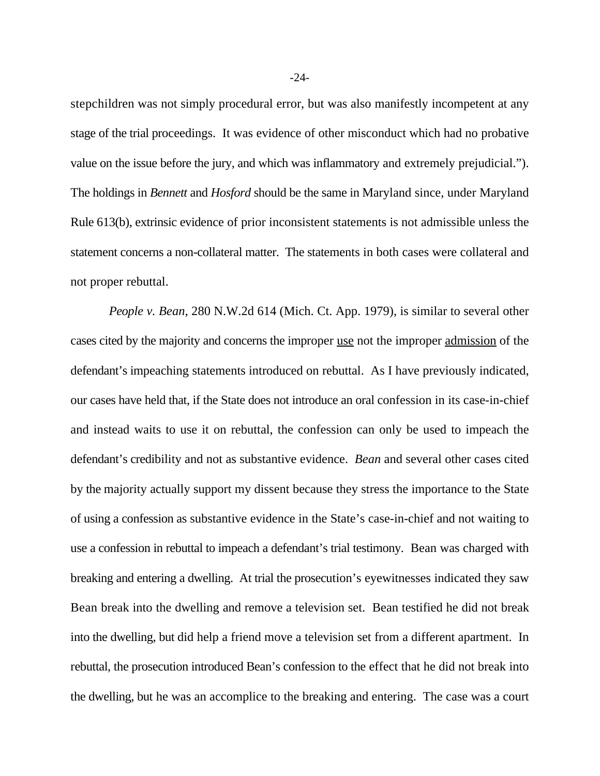stepchildren was not simply procedural error, but was also manifestly incompetent at any stage of the trial proceedings. It was evidence of other misconduct which had no probative value on the issue before the jury, and which was inflammatory and extremely prejudicial."). The holdings in *Bennett* and *Hosford* should be the same in Maryland since, under Maryland Rule 613(b), extrinsic evidence of prior inconsistent statements is not admissible unless the statement concerns a non-collateral matter. The statements in both cases were collateral and not proper rebuttal.

*People v. Bean*, 280 N.W.2d 614 (Mich. Ct. App. 1979), is similar to several other cases cited by the majority and concerns the improper use not the improper admission of the defendant's impeaching statements introduced on rebuttal. As I have previously indicated, our cases have held that, if the State does not introduce an oral confession in its case-in-chief and instead waits to use it on rebuttal, the confession can only be used to impeach the defendant's credibility and not as substantive evidence. *Bean* and several other cases cited by the majority actually support my dissent because they stress the importance to the State of using a confession as substantive evidence in the State's case-in-chief and not waiting to use a confession in rebuttal to impeach a defendant's trial testimony. Bean was charged with breaking and entering a dwelling. At trial the prosecution's eyewitnesses indicated they saw Bean break into the dwelling and remove a television set. Bean testified he did not break into the dwelling, but did help a friend move a television set from a different apartment. In rebuttal, the prosecution introduced Bean's confession to the effect that he did not break into the dwelling, but he was an accomplice to the breaking and entering. The case was a court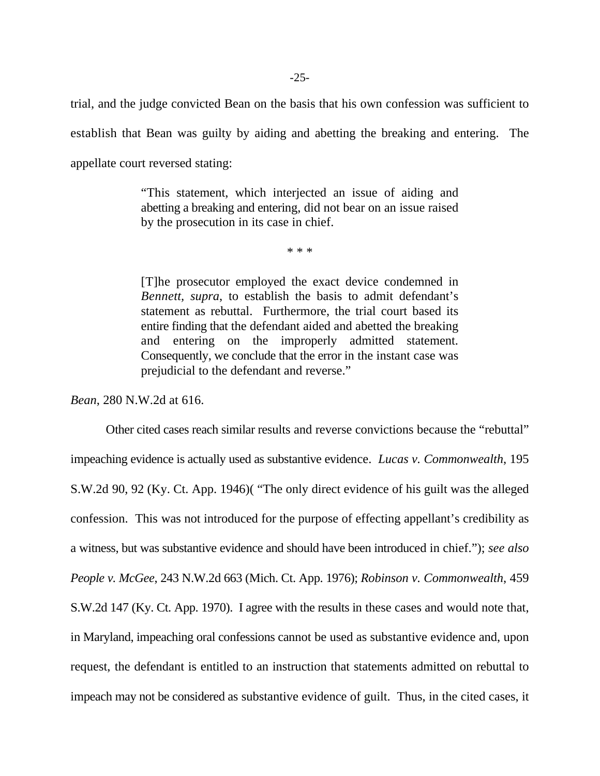trial, and the judge convicted Bean on the basis that his own confession was sufficient to establish that Bean was guilty by aiding and abetting the breaking and entering. The appellate court reversed stating:

> "This statement, which interjected an issue of aiding and abetting a breaking and entering, did not bear on an issue raised by the prosecution in its case in chief.

> > \* \* \*

[T]he prosecutor employed the exact device condemned in *Bennett, supra*, to establish the basis to admit defendant's statement as rebuttal. Furthermore, the trial court based its entire finding that the defendant aided and abetted the breaking and entering on the improperly admitted statement. Consequently, we conclude that the error in the instant case was prejudicial to the defendant and reverse."

*Bean*, 280 N.W.2d at 616.

Other cited cases reach similar results and reverse convictions because the "rebuttal" impeaching evidence is actually used as substantive evidence. *Lucas v. Commonwealth*, 195 S.W.2d 90, 92 (Ky. Ct. App. 1946)( "The only direct evidence of his guilt was the alleged confession. This was not introduced for the purpose of effecting appellant's credibility as a witness, but was substantive evidence and should have been introduced in chief."); *see also People v. McGee*, 243 N.W.2d 663 (Mich. Ct. App. 1976); *Robinson v. Commonwealth*, 459 S.W.2d 147 (Ky. Ct. App. 1970). I agree with the results in these cases and would note that, in Maryland, impeaching oral confessions cannot be used as substantive evidence and, upon request, the defendant is entitled to an instruction that statements admitted on rebuttal to impeach may not be considered as substantive evidence of guilt. Thus, in the cited cases, it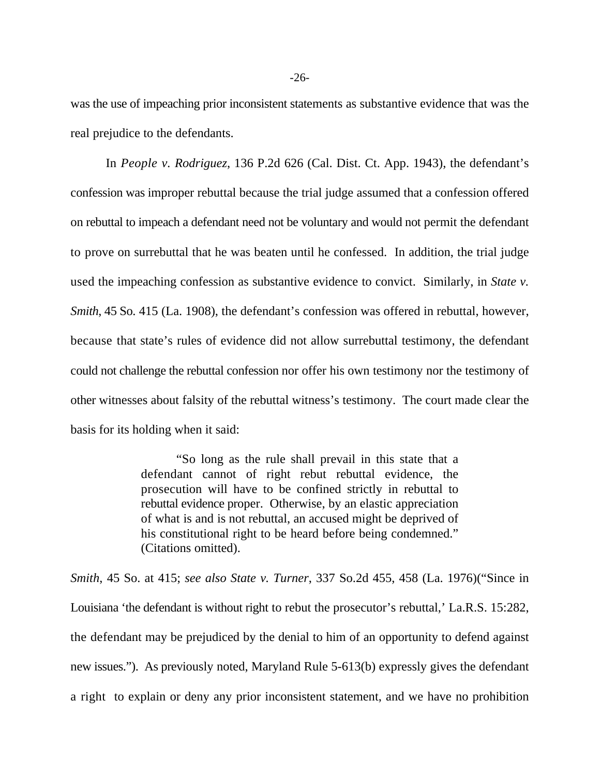was the use of impeaching prior inconsistent statements as substantive evidence that was the real prejudice to the defendants.

In *People v. Rodriguez*, 136 P.2d 626 (Cal. Dist. Ct. App. 1943), the defendant's confession was improper rebuttal because the trial judge assumed that a confession offered on rebuttal to impeach a defendant need not be voluntary and would not permit the defendant to prove on surrebuttal that he was beaten until he confessed. In addition, the trial judge used the impeaching confession as substantive evidence to convict. Similarly, in *State v. Smith*, 45 So. 415 (La. 1908), the defendant's confession was offered in rebuttal, however, because that state's rules of evidence did not allow surrebuttal testimony, the defendant could not challenge the rebuttal confession nor offer his own testimony nor the testimony of other witnesses about falsity of the rebuttal witness's testimony. The court made clear the basis for its holding when it said:

> "So long as the rule shall prevail in this state that a defendant cannot of right rebut rebuttal evidence, the prosecution will have to be confined strictly in rebuttal to rebuttal evidence proper. Otherwise, by an elastic appreciation of what is and is not rebuttal, an accused might be deprived of his constitutional right to be heard before being condemned." (Citations omitted).

*Smith*, 45 So. at 415; *see also State v. Turner*, 337 So.2d 455, 458 (La. 1976)("Since in Louisiana 'the defendant is without right to rebut the prosecutor's rebuttal,' La.R.S. 15:282, the defendant may be prejudiced by the denial to him of an opportunity to defend against new issues."). As previously noted, Maryland Rule 5-613(b) expressly gives the defendant a right to explain or deny any prior inconsistent statement, and we have no prohibition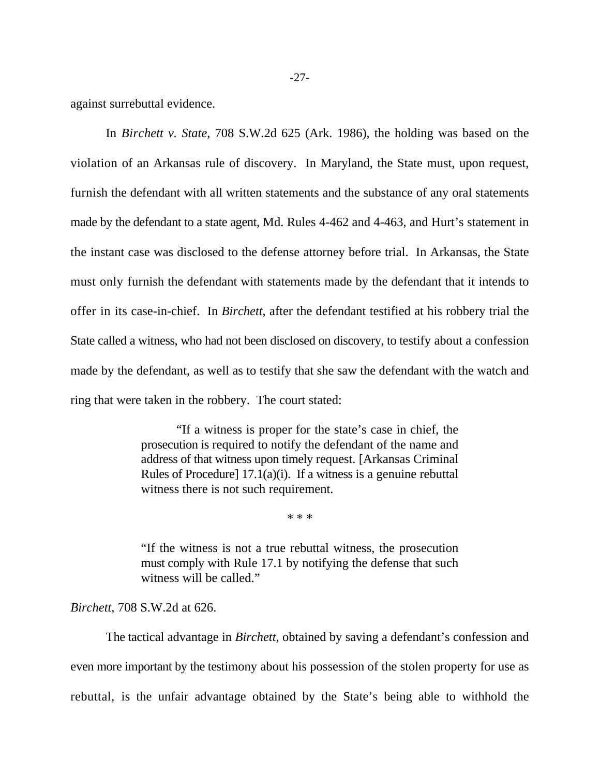against surrebuttal evidence.

In *Birchett v. State*, 708 S.W.2d 625 (Ark. 1986), the holding was based on the violation of an Arkansas rule of discovery. In Maryland, the State must, upon request, furnish the defendant with all written statements and the substance of any oral statements made by the defendant to a state agent, Md. Rules 4-462 and 4-463, and Hurt's statement in the instant case was disclosed to the defense attorney before trial. In Arkansas, the State must only furnish the defendant with statements made by the defendant that it intends to offer in its case-in-chief. In *Birchett*, after the defendant testified at his robbery trial the State called a witness, who had not been disclosed on discovery, to testify about a confession made by the defendant, as well as to testify that she saw the defendant with the watch and ring that were taken in the robbery. The court stated:

> "If a witness is proper for the state's case in chief, the prosecution is required to notify the defendant of the name and address of that witness upon timely request. [Arkansas Criminal Rules of Procedure] 17.1(a)(i). If a witness is a genuine rebuttal witness there is not such requirement.

> > \* \* \*

"If the witness is not a true rebuttal witness, the prosecution must comply with Rule 17.1 by notifying the defense that such witness will be called."

*Birchett*, 708 S.W.2d at 626.

The tactical advantage in *Birchett*, obtained by saving a defendant's confession and even more important by the testimony about his possession of the stolen property for use as rebuttal, is the unfair advantage obtained by the State's being able to withhold the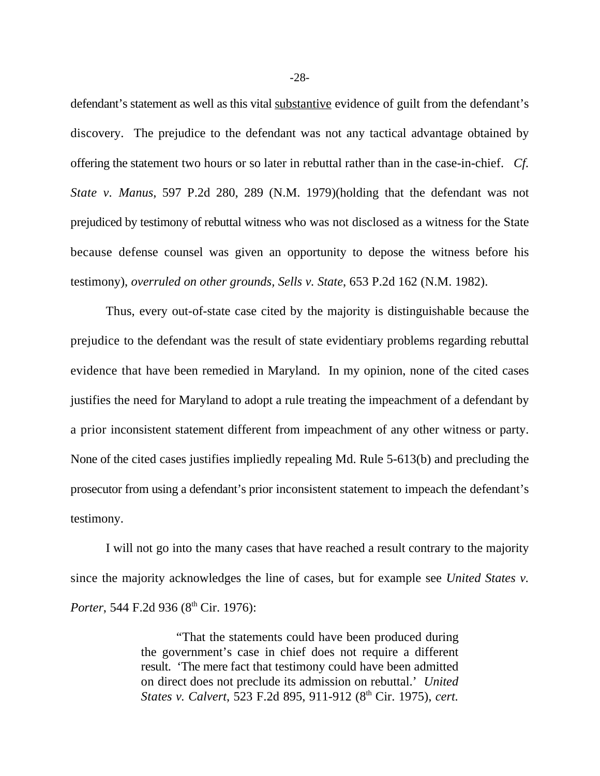defendant's statement as well as this vital substantive evidence of guilt from the defendant's discovery. The prejudice to the defendant was not any tactical advantage obtained by offering the statement two hours or so later in rebuttal rather than in the case-in-chief. *Cf. State v. Manus*, 597 P.2d 280, 289 (N.M. 1979)(holding that the defendant was not prejudiced by testimony of rebuttal witness who was not disclosed as a witness for the State because defense counsel was given an opportunity to depose the witness before his testimony), *overruled on other grounds, Sells v. State*, 653 P.2d 162 (N.M. 1982).

Thus, every out-of-state case cited by the majority is distinguishable because the prejudice to the defendant was the result of state evidentiary problems regarding rebuttal evidence that have been remedied in Maryland. In my opinion, none of the cited cases justifies the need for Maryland to adopt a rule treating the impeachment of a defendant by a prior inconsistent statement different from impeachment of any other witness or party. None of the cited cases justifies impliedly repealing Md. Rule 5-613(b) and precluding the prosecutor from using a defendant's prior inconsistent statement to impeach the defendant's testimony.

I will not go into the many cases that have reached a result contrary to the majority since the majority acknowledges the line of cases, but for example see *United States v. Porter*, 544 F.2d 936 (8<sup>th</sup> Cir. 1976):

> "That the statements could have been produced during the government's case in chief does not require a different result. 'The mere fact that testimony could have been admitted on direct does not preclude its admission on rebuttal.' *United States v. Calvert,* 523 F.2d 895, 911-912 (8<sup>th</sup> Cir. 1975), *cert.*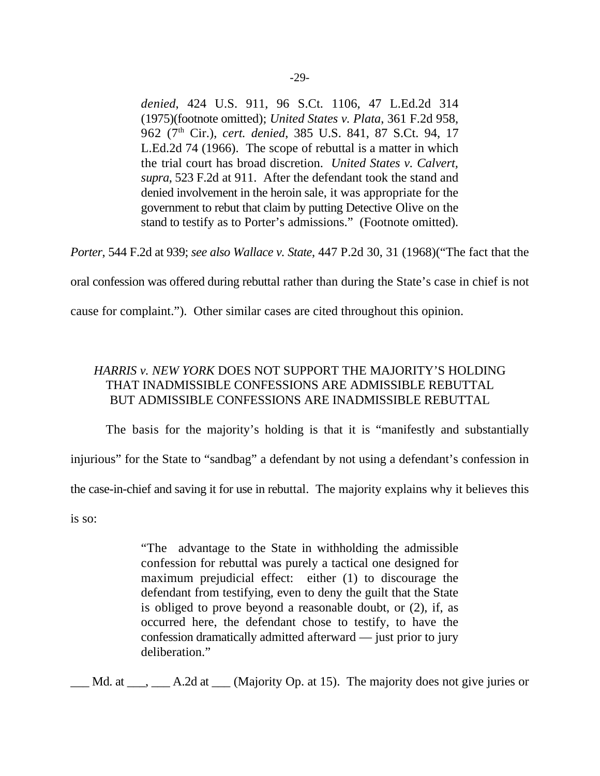*denied*, 424 U.S. 911, 96 S.Ct. 1106, 47 L.Ed.2d 314 (1975)(footnote omitted); *United States v. Plata*, 361 F.2d 958, 962 (7<sup>th</sup> Cir.), *cert. denied*, 385 U.S. 841, 87 S.Ct. 94, 17 L.Ed.2d 74 (1966). The scope of rebuttal is a matter in which the trial court has broad discretion. *United States v. Calvert, supra*, 523 F.2d at 911. After the defendant took the stand and denied involvement in the heroin sale, it was appropriate for the government to rebut that claim by putting Detective Olive on the stand to testify as to Porter's admissions." (Footnote omitted).

*Porter*, 544 F.2d at 939; *see also Wallace v. State*, 447 P.2d 30, 31 (1968)("The fact that the

oral confession was offered during rebuttal rather than during the State's case in chief is not

cause for complaint."). Other similar cases are cited throughout this opinion.

# *HARRIS v. NEW YORK* DOES NOT SUPPORT THE MAJORITY'S HOLDING THAT INADMISSIBLE CONFESSIONS ARE ADMISSIBLE REBUTTAL BUT ADMISSIBLE CONFESSIONS ARE INADMISSIBLE REBUTTAL

The basis for the majority's holding is that it is "manifestly and substantially injurious" for the State to "sandbag" a defendant by not using a defendant's confession in the case-in-chief and saving it for use in rebuttal. The majority explains why it believes this is so:

"The advantage to the State in withholding the admissible confession for rebuttal was purely a tactical one designed for maximum prejudicial effect: either (1) to discourage the defendant from testifying, even to deny the guilt that the State is obliged to prove beyond a reasonable doubt, or (2), if, as occurred here, the defendant chose to testify, to have the confession dramatically admitted afterward — just prior to jury deliberation."

\_\_\_ Md. at \_\_\_, \_\_\_ A.2d at \_\_\_ (Majority Op. at 15). The majority does not give juries or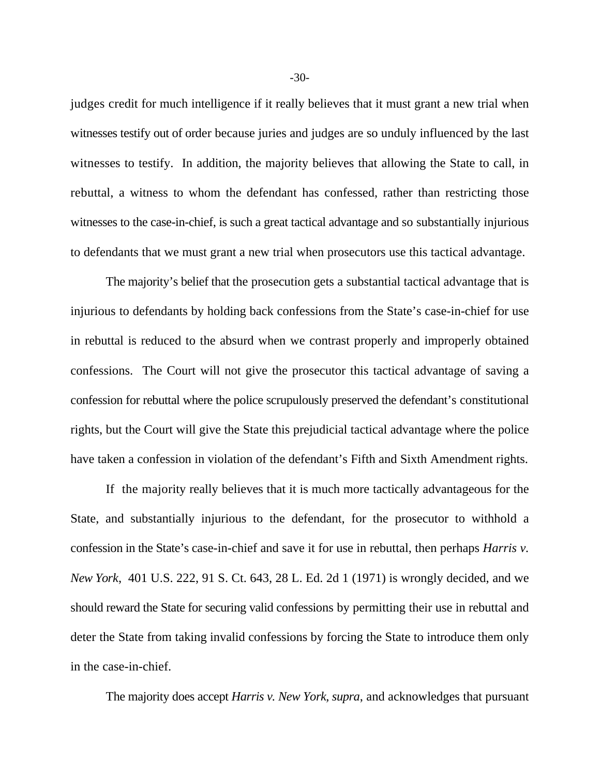judges credit for much intelligence if it really believes that it must grant a new trial when witnesses testify out of order because juries and judges are so unduly influenced by the last witnesses to testify. In addition, the majority believes that allowing the State to call, in rebuttal, a witness to whom the defendant has confessed, rather than restricting those witnesses to the case-in-chief, is such a great tactical advantage and so substantially injurious to defendants that we must grant a new trial when prosecutors use this tactical advantage.

The majority's belief that the prosecution gets a substantial tactical advantage that is injurious to defendants by holding back confessions from the State's case-in-chief for use in rebuttal is reduced to the absurd when we contrast properly and improperly obtained confessions. The Court will not give the prosecutor this tactical advantage of saving a confession for rebuttal where the police scrupulously preserved the defendant's constitutional rights, but the Court will give the State this prejudicial tactical advantage where the police have taken a confession in violation of the defendant's Fifth and Sixth Amendment rights.

If the majority really believes that it is much more tactically advantageous for the State, and substantially injurious to the defendant, for the prosecutor to withhold a confession in the State's case-in-chief and save it for use in rebuttal, then perhaps *Harris v. New York*, 401 U.S. 222, 91 S. Ct. 643, 28 L. Ed. 2d 1 (1971) is wrongly decided, and we should reward the State for securing valid confessions by permitting their use in rebuttal and deter the State from taking invalid confessions by forcing the State to introduce them only in the case-in-chief.

The majority does accept *Harris v. New York, supra*, and acknowledges that pursuant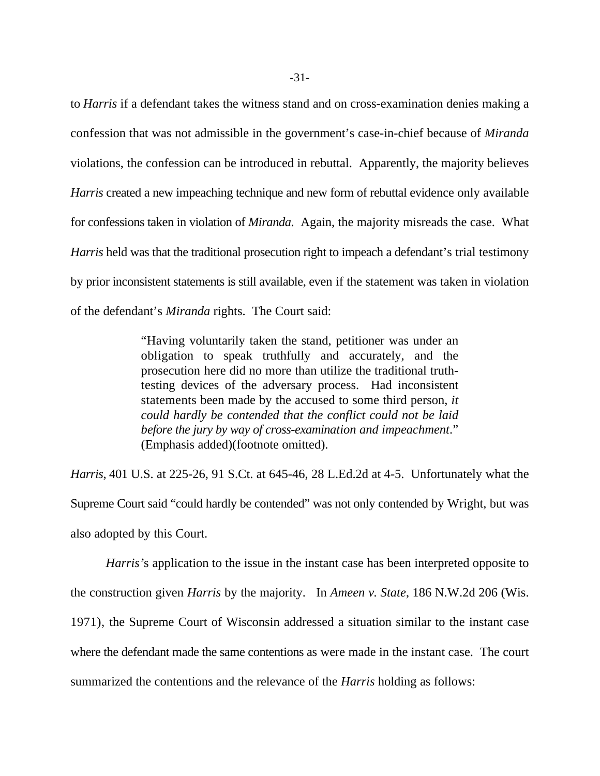to *Harris* if a defendant takes the witness stand and on cross-examination denies making a confession that was not admissible in the government's case-in-chief because of *Miranda* violations, the confession can be introduced in rebuttal. Apparently, the majority believes *Harris* created a new impeaching technique and new form of rebuttal evidence only available for confessions taken in violation of *Miranda*. Again, the majority misreads the case. What *Harris* held was that the traditional prosecution right to impeach a defendant's trial testimony by prior inconsistent statements is still available, even if the statement was taken in violation of the defendant's *Miranda* rights. The Court said:

> "Having voluntarily taken the stand, petitioner was under an obligation to speak truthfully and accurately, and the prosecution here did no more than utilize the traditional truthtesting devices of the adversary process. Had inconsistent statements been made by the accused to some third person, *it could hardly be contended that the conflict could not be laid before the jury by way of cross-examination and impeachment*." (Emphasis added)(footnote omitted).

*Harris*, 401 U.S. at 225-26, 91 S.Ct. at 645-46, 28 L.Ed.2d at 4-5. Unfortunately what the Supreme Court said "could hardly be contended" was not only contended by Wright, but was also adopted by this Court.

*Harris'*s application to the issue in the instant case has been interpreted opposite to the construction given *Harris* by the majority. In *Ameen v. State*, 186 N.W.2d 206 (Wis. 1971), the Supreme Court of Wisconsin addressed a situation similar to the instant case where the defendant made the same contentions as were made in the instant case. The court summarized the contentions and the relevance of the *Harris* holding as follows: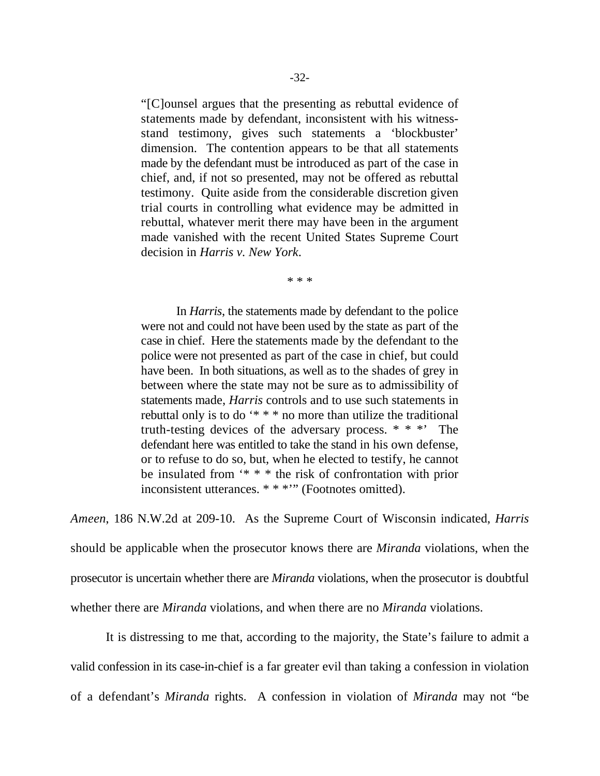"[C]ounsel argues that the presenting as rebuttal evidence of statements made by defendant, inconsistent with his witnessstand testimony, gives such statements a 'blockbuster' dimension. The contention appears to be that all statements made by the defendant must be introduced as part of the case in chief, and, if not so presented, may not be offered as rebuttal testimony. Quite aside from the considerable discretion given trial courts in controlling what evidence may be admitted in rebuttal, whatever merit there may have been in the argument made vanished with the recent United States Supreme Court decision in *Harris v. New York*.

\* \* \*

In *Harris*, the statements made by defendant to the police were not and could not have been used by the state as part of the case in chief. Here the statements made by the defendant to the police were not presented as part of the case in chief, but could have been. In both situations, as well as to the shades of grey in between where the state may not be sure as to admissibility of statements made, *Harris* controls and to use such statements in rebuttal only is to do '\* \* \* no more than utilize the traditional truth-testing devices of the adversary process. \* \* \*' The defendant here was entitled to take the stand in his own defense, or to refuse to do so, but, when he elected to testify, he cannot be insulated from '\* \* \* the risk of confrontation with prior inconsistent utterances. \* \* \*'" (Footnotes omitted).

*Ameen*, 186 N.W.2d at 209-10. As the Supreme Court of Wisconsin indicated, *Harris* should be applicable when the prosecutor knows there are *Miranda* violations, when the prosecutor is uncertain whether there are *Miranda* violations, when the prosecutor is doubtful whether there are *Miranda* violations, and when there are no *Miranda* violations.

It is distressing to me that, according to the majority, the State's failure to admit a valid confession in its case-in-chief is a far greater evil than taking a confession in violation of a defendant's *Miranda* rights. A confession in violation of *Miranda* may not "be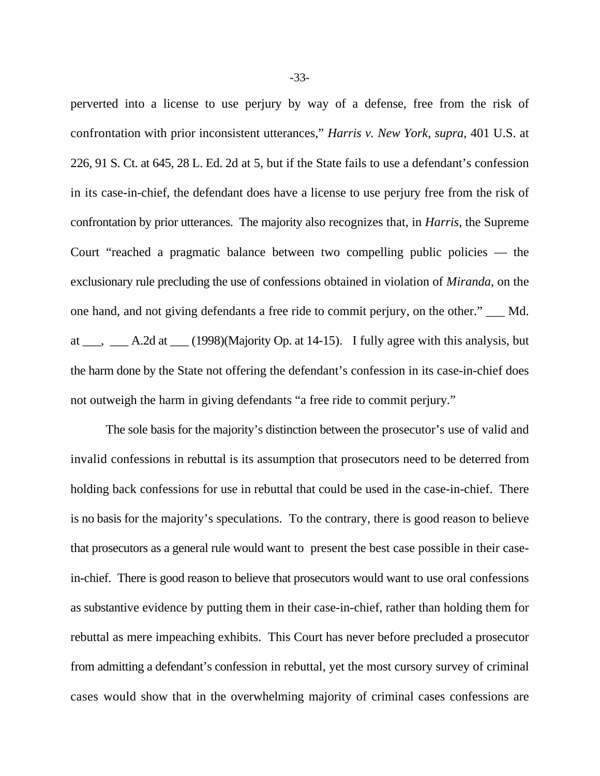perverted into a license to use perjury by way of a defense, free from the risk of confrontation with prior inconsistent utterances," *Harris v. New York, supra*, 401 U.S. at 226, 91 S. Ct. at 645, 28 L. Ed. 2d at 5, but if the State fails to use a defendant's confession in its case-in-chief, the defendant does have a license to use perjury free from the risk of confrontation by prior utterances. The majority also recognizes that, in *Harris*, the Supreme Court "reached a pragmatic balance between two compelling public policies — the exclusionary rule precluding the use of confessions obtained in violation of *Miranda*, on the one hand, and not giving defendants a free ride to commit perjury, on the other." \_\_\_ Md. at  $\_\_\_\_\_\_$  A.2d at  $\_\_\_\_$  (1998)(Majority Op. at 14-15). I fully agree with this analysis, but the harm done by the State not offering the defendant's confession in its case-in-chief does not outweigh the harm in giving defendants "a free ride to commit perjury."

The sole basis for the majority's distinction between the prosecutor's use of valid and invalid confessions in rebuttal is its assumption that prosecutors need to be deterred from holding back confessions for use in rebuttal that could be used in the case-in-chief. There is no basis for the majority's speculations. To the contrary, there is good reason to believe that prosecutors as a general rule would want to present the best case possible in their casein-chief. There is good reason to believe that prosecutors would want to use oral confessions as substantive evidence by putting them in their case-in-chief, rather than holding them for rebuttal as mere impeaching exhibits. This Court has never before precluded a prosecutor from admitting a defendant's confession in rebuttal, yet the most cursory survey of criminal cases would show that in the overwhelming majority of criminal cases confessions are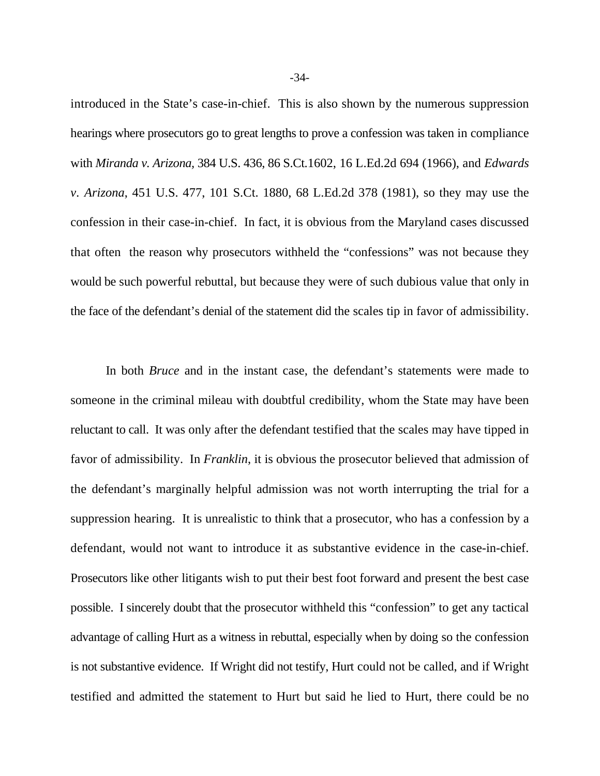introduced in the State's case-in-chief. This is also shown by the numerous suppression hearings where prosecutors go to great lengths to prove a confession was taken in compliance with *Miranda v. Arizona,* 384 U.S. 436, 86 S.Ct.1602, 16 L.Ed.2d 694 (1966), and *Edwards v. Arizona*, 451 U.S. 477, 101 S.Ct. 1880, 68 L.Ed.2d 378 (1981), so they may use the confession in their case-in-chief. In fact, it is obvious from the Maryland cases discussed that often the reason why prosecutors withheld the "confessions" was not because they would be such powerful rebuttal, but because they were of such dubious value that only in the face of the defendant's denial of the statement did the scales tip in favor of admissibility.

In both *Bruce* and in the instant case, the defendant's statements were made to someone in the criminal mileau with doubtful credibility, whom the State may have been reluctant to call. It was only after the defendant testified that the scales may have tipped in favor of admissibility. In *Franklin*, it is obvious the prosecutor believed that admission of the defendant's marginally helpful admission was not worth interrupting the trial for a suppression hearing. It is unrealistic to think that a prosecutor, who has a confession by a defendant, would not want to introduce it as substantive evidence in the case-in-chief. Prosecutors like other litigants wish to put their best foot forward and present the best case possible. I sincerely doubt that the prosecutor withheld this "confession" to get any tactical advantage of calling Hurt as a witness in rebuttal, especially when by doing so the confession is not substantive evidence. If Wright did not testify, Hurt could not be called, and if Wright testified and admitted the statement to Hurt but said he lied to Hurt, there could be no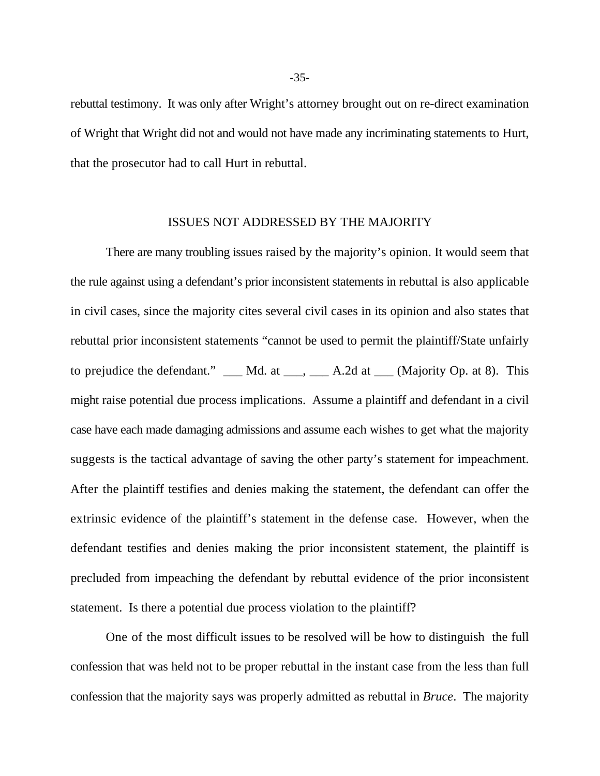rebuttal testimony. It was only after Wright's attorney brought out on re-direct examination of Wright that Wright did not and would not have made any incriminating statements to Hurt, that the prosecutor had to call Hurt in rebuttal.

# ISSUES NOT ADDRESSED BY THE MAJORITY

There are many troubling issues raised by the majority's opinion. It would seem that the rule against using a defendant's prior inconsistent statements in rebuttal is also applicable in civil cases, since the majority cites several civil cases in its opinion and also states that rebuttal prior inconsistent statements "cannot be used to permit the plaintiff/State unfairly to prejudice the defendant."  $\_\_\_\_\_\_$ Md. at  $\_\_\_\_\_\_$ A.2d at  $\_\_\_\_$ (Majority Op. at 8). This might raise potential due process implications. Assume a plaintiff and defendant in a civil case have each made damaging admissions and assume each wishes to get what the majority suggests is the tactical advantage of saving the other party's statement for impeachment. After the plaintiff testifies and denies making the statement, the defendant can offer the extrinsic evidence of the plaintiff's statement in the defense case. However, when the defendant testifies and denies making the prior inconsistent statement, the plaintiff is precluded from impeaching the defendant by rebuttal evidence of the prior inconsistent statement. Is there a potential due process violation to the plaintiff?

One of the most difficult issues to be resolved will be how to distinguish the full confession that was held not to be proper rebuttal in the instant case from the less than full confession that the majority says was properly admitted as rebuttal in *Bruce*. The majority

-35-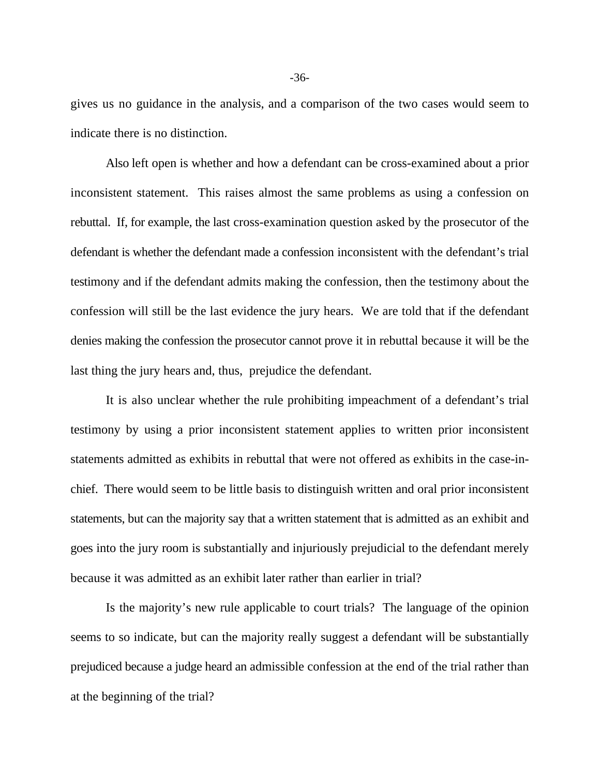gives us no guidance in the analysis, and a comparison of the two cases would seem to indicate there is no distinction.

Also left open is whether and how a defendant can be cross-examined about a prior inconsistent statement. This raises almost the same problems as using a confession on rebuttal. If, for example, the last cross-examination question asked by the prosecutor of the defendant is whether the defendant made a confession inconsistent with the defendant's trial testimony and if the defendant admits making the confession, then the testimony about the confession will still be the last evidence the jury hears. We are told that if the defendant denies making the confession the prosecutor cannot prove it in rebuttal because it will be the last thing the jury hears and, thus, prejudice the defendant.

It is also unclear whether the rule prohibiting impeachment of a defendant's trial testimony by using a prior inconsistent statement applies to written prior inconsistent statements admitted as exhibits in rebuttal that were not offered as exhibits in the case-inchief. There would seem to be little basis to distinguish written and oral prior inconsistent statements, but can the majority say that a written statement that is admitted as an exhibit and goes into the jury room is substantially and injuriously prejudicial to the defendant merely because it was admitted as an exhibit later rather than earlier in trial?

Is the majority's new rule applicable to court trials? The language of the opinion seems to so indicate, but can the majority really suggest a defendant will be substantially prejudiced because a judge heard an admissible confession at the end of the trial rather than at the beginning of the trial?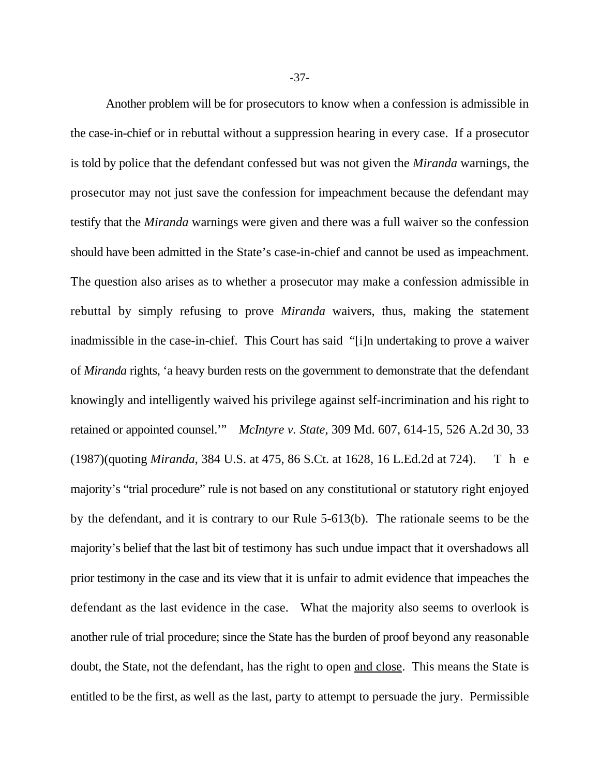Another problem will be for prosecutors to know when a confession is admissible in the case-in-chief or in rebuttal without a suppression hearing in every case. If a prosecutor is told by police that the defendant confessed but was not given the *Miranda* warnings, the prosecutor may not just save the confession for impeachment because the defendant may testify that the *Miranda* warnings were given and there was a full waiver so the confession should have been admitted in the State's case-in-chief and cannot be used as impeachment. The question also arises as to whether a prosecutor may make a confession admissible in rebuttal by simply refusing to prove *Miranda* waivers, thus, making the statement inadmissible in the case-in-chief. This Court has said "[i]n undertaking to prove a waiver of *Miranda* rights, 'a heavy burden rests on the government to demonstrate that the defendant knowingly and intelligently waived his privilege against self-incrimination and his right to retained or appointed counsel.'" *McIntyre v. State*, 309 Md. 607, 614-15, 526 A.2d 30, 33 (1987)(quoting *Miranda*, 384 U.S. at 475, 86 S.Ct. at 1628, 16 L.Ed.2d at 724). T h e majority's "trial procedure" rule is not based on any constitutional or statutory right enjoyed by the defendant, and it is contrary to our Rule 5-613(b). The rationale seems to be the majority's belief that the last bit of testimony has such undue impact that it overshadows all prior testimony in the case and its view that it is unfair to admit evidence that impeaches the defendant as the last evidence in the case. What the majority also seems to overlook is another rule of trial procedure; since the State has the burden of proof beyond any reasonable doubt, the State, not the defendant, has the right to open and close. This means the State is entitled to be the first, as well as the last, party to attempt to persuade the jury. Permissible